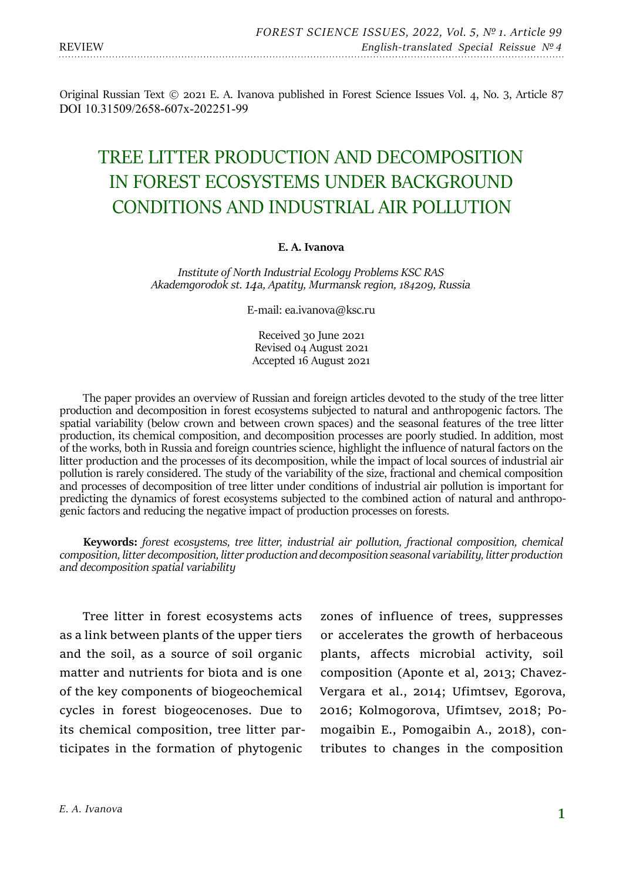Original Russian Text © 2021 E. A. Ivanova published in Forest Science Issues Vol. 4, No. 3, Article 87 DOI 10.31509/2658-607x-202251-99

# TREE LITTER PRODUCTION AND DECOMPOSITION IN FOREST ECOSYSTEMS UNDER BACKGROUND CONDITIONS AND INDUSTRIAL AIR POLLUTION

#### **E. A. Ivanova**

*Institute of North Industrial Ecology Problems KSC RAS Akademgorodok st. 14a, Apatity, Murmansk region, 184209, Russia*

E-mail: ea.ivanova@ksc.ru

Received 30 June 2021 Revised 04 August 2021 Accepted 16 August 2021

The paper provides an overview of Russian and foreign articles devoted to the study of the tree litter production and decomposition in forest ecosystems subjected to natural and anthropogenic factors. The spatial variability (below crown and between crown spaces) and the seasonal features of the tree litter production, its chemical composition, and decomposition processes are poorly studied. In addition, most of the works, both in Russia and foreign countries science, highlight the influence of natural factors on the litter production and the processes of its decomposition, while the impact of local sources of industrial air pollution is rarely considered. The study of the variability of the size, fractional and chemical composition and processes of decomposition of tree litter under conditions of industrial air pollution is important for predicting the dynamics of forest ecosystems subjected to the combined action of natural and anthropo-<br>genic factors and reducing the negative impact of production processes on forests.

**Keywords:** *forest ecosystems, tree litter, industrial air pollution, fractional composition, chemical composition, litter decomposition, litter production and decomposition seasonal variability, litter production and decomposition spatial variability*

Tree litter in forest ecosystems acts as a link between plants of the upper tiers and the soil, as a source of soil organic matter and nutrients for biota and is one of the key components of biogeochemical cycles in forest biogeocenoses. Due to its chemical composition, tree litter participates in the formation of phytogenic

zones of influence of trees, suppresses or accelerates the growth of herbaceous plants, affects microbial activity, soil composition (Aponte et al, 2013; Chavez-Vergara et al., 2014; Ufimtsev, Egorova, 2016; Kolmogorova, Ufimtsev, 2018; Pomogaibin E., Pomogaibin A., 2018), contributes to changes in the composition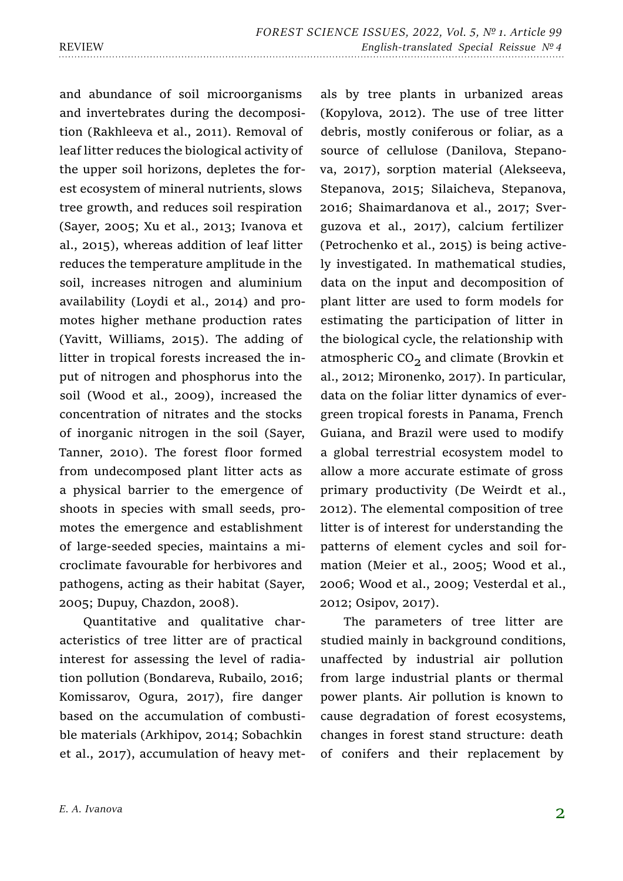and abundance of soil microorganisms and invertebrates during the decomposition (Rakhleeva et al., 2011). Removal of leaf litter reduces the biological activity of the upper soil horizons, depletes the forest ecosystem of mineral nutrients, slows tree growth, and reduces soil respiration (Sayer, 2005; Xu et al., 2013; Ivanova et al., 2015), whereas addition of leaf litter reduces the temperature amplitude in the soil, increases nitrogen and aluminium availability (Loydi et al., 2014) and promotes higher methane production rates (Yavitt, Williams, 2015). The adding of litter in tropical forests increased the input of nitrogen and phosphorus into the soil (Wood et al., 2009), increased the concentration of nitrates and the stocks of inorganic nitrogen in the soil (Sayer, Tanner, 2010). The forest floor formed from undecomposed plant litter acts as a physical barrier to the emergence of shoots in species with small seeds, promotes the emergence and establishment of large-seeded species, maintains a microclimate favourable for herbivores and pathogens, acting as their habitat (Sayer, 2005; Dupuy, Chazdon, 2008).

Quantitative and qualitative characteristics of tree litter are of practical interest for assessing the level of radiation pollution (Bondareva, Rubailo, 2016; Komissarov, Ogura, 2017), fire danger based on the accumulation of combustible materials (Arkhipov, 2014; Sobachkin et al., 2017), accumulation of heavy metals by tree plants in urbanized areas (Kopylova, 2012). The use of tree litter debris, mostly coniferous or foliar, as a source of cellulose (Danilova, Stepanova, 2017), sorption material (Alekseeva, Stepanova, 2015; Silaicheva, Stepanova, 2016; Shaimardanova et al., 2017; Sverguzova et al., 2017), calcium fertilizer (Petrochenko et al., 2015) is being actively investigated. In mathematical studies, data on the input and decomposition of plant litter are used to form models for estimating the participation of litter in the biological cycle, the relationship with atmospheric  $CO<sub>2</sub>$  and climate (Brovkin et al., 2012; Mironenko, 2017). In particular, data on the foliar litter dynamics of evergreen tropical forests in Panama, French Guiana, and Brazil were used to modify a global terrestrial ecosystem model to allow a more accurate estimate of gross primary productivity (De Weirdt et al., 2012). The elemental composition of tree litter is of interest for understanding the patterns of element cycles and soil formation (Meier et al., 2005; Wood et al., 2006; Wood et al., 2009; Vesterdal et al., 2012; Osipov, 2017).

The parameters of tree litter are studied mainly in background conditions, unaffected by industrial air pollution from large industrial plants or thermal power plants. Air pollution is known to cause degradation of forest ecosystems, changes in forest stand structure: death of conifers and their replacement by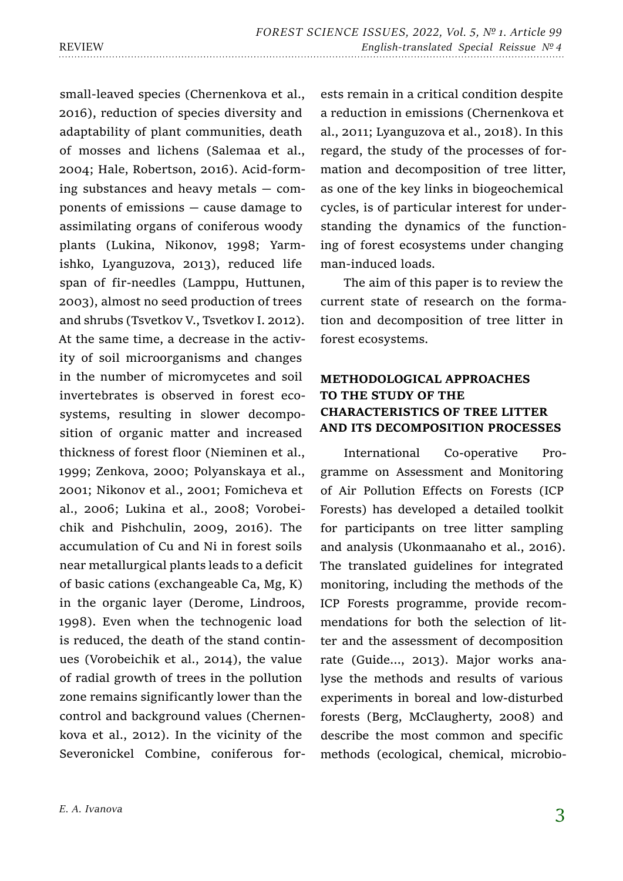small-leaved species (Chernenkova et al., 2016), reduction of species diversity and adaptability of plant communities, death of mosses and lichens (Salemaa et al., 2004; Hale, Robertson, 2016). Acid-forming substances and heavy metals — components of emissions — cause damage to assimilating organs of coniferous woody plants (Lukina, Nikonov, 1998; Yarmishko, Lyanguzova, 2013), reduced life span of fir-needles (Lamppu, Huttunen, 2003), almost no seed production of trees and shrubs (Tsvetkov V., Tsvetkov I. 2012). At the same time, a decrease in the activity of soil microorganisms and changes in the number of micromycetes and soil invertebrates is observed in forest ecosystems, resulting in slower decomposition of organic matter and increased thickness of forest floor (Nieminen et al., 1999; Zenkova, 2000; Polyanskaya et al., 2001; Nikonov et al., 2001; Fomicheva et al., 2006; Lukina et al., 2008; Vorobeichik and Pishchulin, 2009, 2016). The accumulation of Cu and Ni in forest soils near metallurgical plants leads to a deficit of basic cations (exchangeable Ca, Mg, K) in the organic layer (Derome, Lindroos, 1998). Even when the technogenic load is reduced, the death of the stand continues (Vorobeichik et al., 2014), the value of radial growth of trees in the pollution zone remains significantly lower than the control and background values (Chernenkova et al., 2012). In the vicinity of the Severonickel Combine, coniferous for-

ests remain in a critical condition despite a reduction in emissions (Chernenkova et al., 2011; Lyanguzova et al., 2018). In this regard, the study of the processes of formation and decomposition of tree litter, as one of the key links in biogeochemical cycles, is of particular interest for understanding the dynamics of the functioning of forest ecosystems under changing man-induced loads.

The aim of this paper is to review the current state of research on the formation and decomposition of tree litter in forest ecosystems.

# **METHODOLOGICAL APPROACHES TO THE STUDY OF THE CHARACTERISTICS OF TREE LITTER AND ITS DECOMPOSITION PROCESSES**

International Co-operative Programme on Assessment and Monitoring of Air Pollution Effects on Forests (ICP Forests) has developed a detailed toolkit for participants on tree litter sampling and analysis (Ukonmaanaho et al., 2016). The translated guidelines for integrated monitoring, including the methods of the ICP Forests programme, provide recommendations for both the selection of litter and the assessment of decomposition rate (Guide…, 2013). Major works analyse the methods and results of various experiments in boreal and low-disturbed forests (Berg, McClaugherty, 2008) and describe the most common and specific methods (ecological, chemical, microbio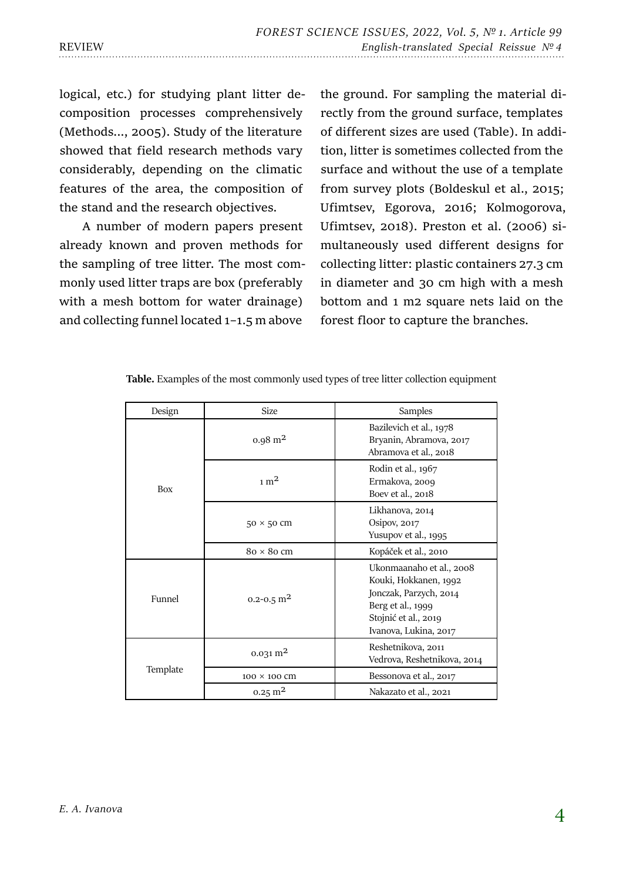logical, etc.) for studying plant litter decomposition processes comprehensively (Methods..., 2005). Study of the literature showed that field research methods vary considerably, depending on the climatic features of the area, the composition of the stand and the research objectives.

A number of modern papers present already known and proven methods for the sampling of tree litter. The most commonly used litter traps are box (preferably with a mesh bottom for water drainage) and collecting funnel located 1–1.5 m above

the ground. For sampling the material directly from the ground surface, templates of different sizes are used (Table). In addition, litter is sometimes collected from the surface and without the use of a template from survey plots (Boldeskul et al., 2015; Ufimtsev, Egorova, 2016; Kolmogorova, Ufimtsev, 2018). Preston et al. (2006) simultaneously used different designs for collecting litter: plastic containers 27.3 cm in diameter and 30 cm high with a mesh bottom and 1 m2 square nets laid on the forest floor to capture the branches.

| Design     | <b>Size</b>                | Samples                                                                                                                                           |
|------------|----------------------------|---------------------------------------------------------------------------------------------------------------------------------------------------|
| <b>Box</b> | $0.98 \text{ m}^2$         | Bazilevich et al., 1978<br>Bryanin, Abramova, 2017<br>Abramova et al., 2018                                                                       |
|            | $1 \text{ m}^2$            | Rodin et al., 1967<br>Ermakova, 2009<br>Boev et al., 2018                                                                                         |
|            | $50 \times 50$ cm          | Likhanova, 2014<br>Osipov, $2017$<br>Yusupov et al., 1995                                                                                         |
|            | $80 \times 80$ cm          | Kopáček et al., 2010                                                                                                                              |
| Funnel     | $0.2 - 0.5$ m <sup>2</sup> | Ukonmaanaho et al., 2008<br>Kouki, Hokkanen, 1992<br>Jonczak, Parzych, 2014<br>Berg et al., 1999<br>Stojnić et al., 2019<br>Ivanova, Lukina, 2017 |
| Template   | $0.031 \text{ m}^2$        | Reshetnikova, 2011<br>Vedrova, Reshetnikova, 2014                                                                                                 |
|            | 100 × 100 CM               | Bessonova et al., 2017                                                                                                                            |
|            | $0.25 \text{ m}^2$         | Nakazato et al., 2021                                                                                                                             |

**Table.** Examples of the most commonly used types of tree litter collection equipment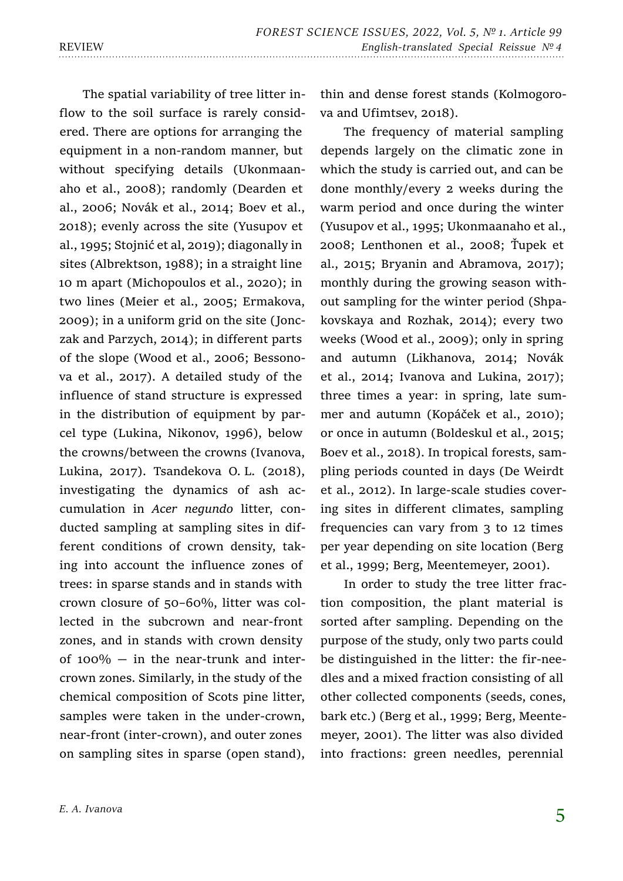The spatial variability of tree litter inflow to the soil surface is rarely considered. There are options for arranging the equipment in a non-random manner, but without specifying details (Ukonmaanaho et al., 2008); randomly (Dearden et al., 2006; Novák et al., 2014; Boev et al., 2018); evenly across the site (Yusupov et al., 1995; Stojnić et al, 2019); diagonally in sites (Albrektson, 1988); in a straight line 10 m apart (Michopoulos et al., 2020); in two lines (Meier et al., 2005; Ermakova, 2009); in a uniform grid on the site (Jonczak and Parzych, 2014); in different parts of the slope (Wood et al., 2006; Bessonova et al., 2017). A detailed study of the influence of stand structure is expressed in the distribution of equipment by parcel type (Lukina, Nikonov, 1996), below the crowns/between the crowns (Ivanova, Lukina, 2017). Tsandekova O. L. (2018), investigating the dynamics of ash accumulation in *Acer negundo* litter, conducted sampling at sampling sites in different conditions of crown density, taking into account the influence zones of trees: in sparse stands and in stands with crown closure of 50–60%, litter was collected in the subcrown and near-front zones, and in stands with crown density of  $100\%$  – in the near-trunk and intercrown zones. Similarly, in the study of the chemical composition of Scots pine litter, samples were taken in the under-crown, near-front (inter-crown), and outer zones on sampling sites in sparse (open stand),

thin and dense forest stands (Kolmogorova and Ufimtsev, 2018).

The frequency of material sampling depends largely on the climatic zone in which the study is carried out, and can be done monthly/every 2 weeks during the warm period and once during the winter (Yusupov et al., 1995; Ukonmaanaho et al., 2008; Lenthonen et al., 2008; Ťupek et al., 2015; Bryanin and Abramova, 2017); monthly during the growing season without sampling for the winter period (Shpakovskaya and Rozhak, 2014); every two weeks (Wood et al., 2009); only in spring and autumn (Likhanova, 2014; Novák et al., 2014; Ivanova and Lukina, 2017); three times a year: in spring, late summer and autumn (Kopáček et al., 2010); or once in autumn (Boldeskul et al., 2015; Boev et al., 2018). In tropical forests, sampling periods counted in days (De Weirdt et al., 2012). In large-scale studies covering sites in different climates, sampling frequencies can vary from 3 to 12 times per year depending on site location (Berg et al., 1999; Berg, Meentemeyer, 2001).

In order to study the tree litter fraction composition, the plant material is sorted after sampling. Depending on the purpose of the study, only two parts could be distinguished in the litter: the fir-needles and a mixed fraction consisting of all other collected components (seeds, cones, bark etc.) (Berg et al., 1999; Berg, Meentemeyer, 2001). The litter was also divided into fractions: green needles, perennial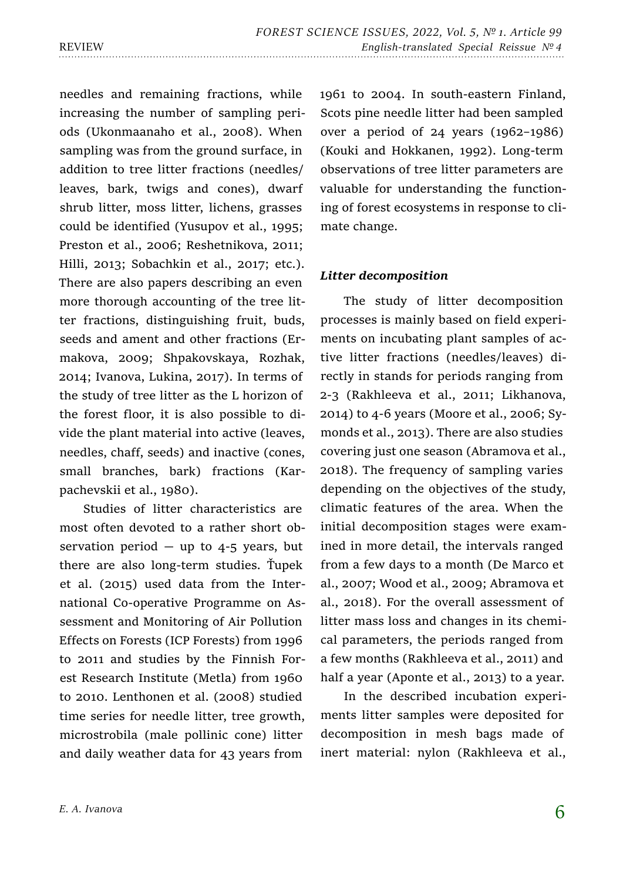needles and remaining fractions, while increasing the number of sampling periods (Ukonmaanaho et al., 2008). When sampling was from the ground surface, in addition to tree litter fractions (needles/ leaves, bark, twigs and cones), dwarf shrub litter, moss litter, lichens, grasses could be identified (Yusupov et al., 1995; Preston et al., 2006; Reshetnikova, 2011; Hilli, 2013; Sobachkin et al., 2017; etc.). There are also papers describing an even more thorough accounting of the tree litter fractions, distinguishing fruit, buds, seeds and ament and other fractions (Ermakova, 2009; Shpakovskaya, Rozhak, 2014; Ivanova, Lukina, 2017). In terms of the study of tree litter as the L horizon of the forest floor, it is also possible to divide the plant material into active (leaves, needles, chaff, seeds) and inactive (cones, small branches, bark) fractions (Karpachevskii et al., 1980).

Studies of litter characteristics are most often devoted to a rather short observation period  $-$  up to 4-5 years, but there are also long-term studies. Ťupek et al. (2015) used data from the International Co-operative Programme on Assessment and Monitoring of Air Pollution Effects on Forests (ICP Forests) from 1996 to 2011 and studies by the Finnish Forest Research Institute (Metla) from 1960 to 2010. Lenthonen et al. (2008) studied time series for needle litter, tree growth, microstrobila (male pollinic cone) litter and daily weather data for 43 years from

1961 to 2004. In south-eastern Finland, Scots pine needle litter had been sampled over a period of 24 years (1962–1986) (Kouki and Hokkanen, 1992). Long-term observations of tree litter parameters are valuable for understanding the functioning of forest ecosystems in response to climate change.

### *Litter decomposition*

The study of litter decomposition processes is mainly based on field experiments on incubating plant samples of active litter fractions (needles/leaves) directly in stands for periods ranging from 2-3 (Rakhleeva et al., 2011; Likhanova, 2014) to 4-6 years (Moore et al., 2006; Symonds et al., 2013). There are also studies covering just one season (Abramova et al., 2018). The frequency of sampling varies depending on the objectives of the study, climatic features of the area. When the initial decomposition stages were examined in more detail, the intervals ranged from a few days to a month (De Marco et al., 2007; Wood et al., 2009; Abramova et al., 2018). For the overall assessment of litter mass loss and changes in its chemical parameters, the periods ranged from a few months (Rakhleeva et al., 2011) and half a year (Aponte et al., 2013) to a year.

In the described incubation experiments litter samples were deposited for decomposition in mesh bags made of inert material: nylon (Rakhleeva et al.,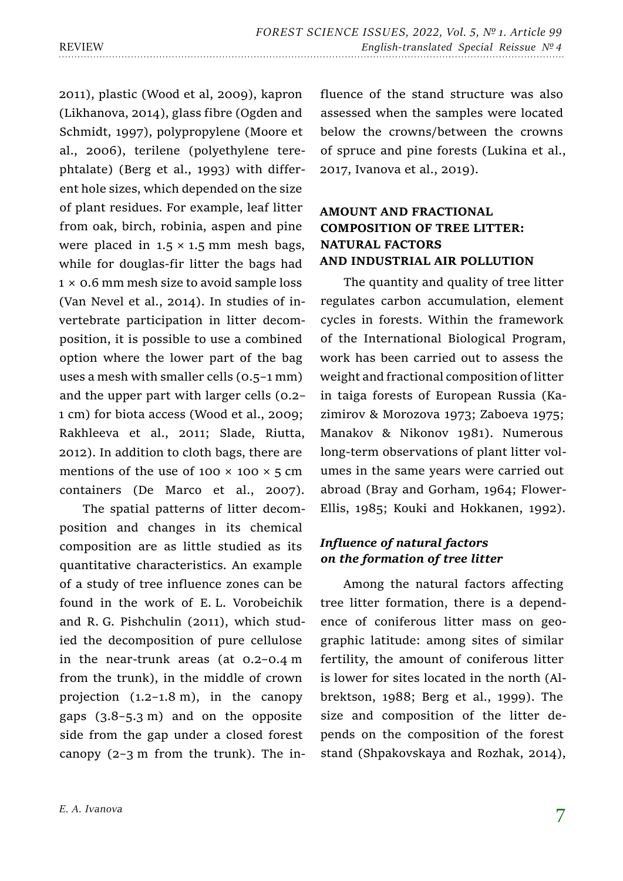2011), plastic (Wood et al, 2009), kapron (Likhanova, 2014), glass fibre (Ogden and Schmidt, 1997), polypropylene (Moore et al., 2006), terilene (polyethylene terephtalate) (Berg et al., 1993) with different hole sizes, which depended on the size of plant residues. For example, leaf litter from oak, birch, robinia, aspen and pine were placed in  $1.5 \times 1.5$  mm mesh bags, while for douglas-fir litter the bags had 1 × 0.6 mm mesh size to avoid sample loss (Van Nevel et al., 2014). In studies of invertebrate participation in litter decomposition, it is possible to use a combined option where the lower part of the bag uses a mesh with smaller cells (0.5–1 mm) and the upper part with larger cells (0.2– 1 cm) for biota access (Wood et al., 2009; Rakhleeva et al., 2011; Slade, Riutta, 2012). In addition to cloth bags, there are mentions of the use of 100  $\times$  100  $\times$  5 cm containers (De Marco et al., 2007).

The spatial patterns of litter decomposition and changes in its chemical composition are as little studied as its quantitative characteristics. An example of a study of tree influence zones can be found in the work of E. L. Vorobeichik and R. G. Pishchulin (2011), which studied the decomposition of pure cellulose in the near-trunk areas (at 0.2–0.4 m from the trunk), in the middle of crown projection (1.2–1.8 m), in the canopy gaps (3.8–5.3 m) and on the opposite side from the gap under a closed forest canopy  $(2-3 \text{ m from the trunk})$ . The influence of the stand structure was also assessed when the samples were located below the crowns/between the crowns of spruce and pine forests (Lukina et al., 2017, Ivanova et al., 2019).

# **AMOUNT AND FRACTIONAL COMPOSITION OF TREE LITTER: NATURAL FACTORS AND INDUSTRIAL AIR POLLUTION**

The quantity and quality of tree litter regulates carbon accumulation, element cycles in forests. Within the framework of the International Biological Program, work has been carried out to assess the weight and fractional composition of litter in taiga forests of European Russia (Kazimirov & Morozova 1973; Zaboeva 1975; Manakov & Nikonov 1981). Numerous long-term observations of plant litter volumes in the same years were carried out abroad (Bray and Gorham, 1964; Flower-Ellis, 1985; Kouki and Hokkanen, 1992).

# *Influence of natural factors on the formation of tree litter*

Among the natural factors affecting tree litter formation, there is a dependence of coniferous litter mass on geographic latitude: among sites of similar fertility, the amount of coniferous litter is lower for sites located in the north (Albrektson, 1988; Berg et al., 1999). The size and composition of the litter depends on the composition of the forest stand (Shpakovskaya and Rozhak, 2014),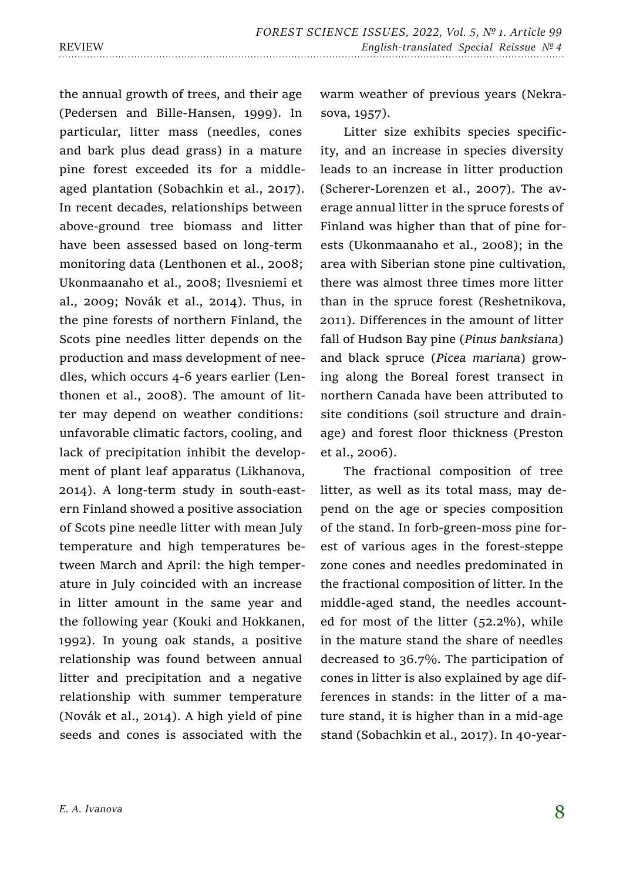the annual growth of trees, and their age (Pedersen and Bille-Hansen, 1999). In particular, litter mass (needles, cones and bark plus dead grass) in a mature pine forest exceeded its for a middleaged plantation (Sobachkin et al., 2017). In recent decades, relationships between above-ground tree biomass and litter have been assessed based on long-term monitoring data (Lenthonen et al., 2008; Ukonmaanaho et al., 2008; Ilvesniemi et al., 2009; Novák et al., 2014). Thus, in the pine forests of northern Finland, the Scots pine needles litter depends on the production and mass development of needles, which occurs 4-6 years earlier (Lenthonen et al., 2008). The amount of litter may depend on weather conditions: unfavorable climatic factors, cooling, and lack of precipitation inhibit the development of plant leaf apparatus (Likhanova, 2014). A long-term study in south-eastern Finland showed a positive association of Scots pine needle litter with mean July temperature and high temperatures between March and April: the high temperature in July coincided with an increase in litter amount in the same year and the following year (Kouki and Hokkanen, 1992). In young oak stands, a positive relationship was found between annual litter and precipitation and a negative relationship with summer temperature (Novák et al., 2014). A high yield of pine seeds and cones is associated with the

warm weather of previous years (Nekrasova, 1957).

Litter size exhibits species specificity, and an increase in species diversity leads to an increase in litter production (Scherer-Lorenzen et al., 2007). The average annual litter in the spruce forests of Finland was higher than that of pine forests (Ukonmaanaho et al., 2008); in the area with Siberian stone pine cultivation, there was almost three times more litter than in the spruce forest (Reshetnikova, 2011). Differences in the amount of litter fall of Hudson Bay pine (*Pinus banksiana*) and black spruce (*Picea mariana*) growing along the Boreal forest transect in northern Canada have been attributed to site conditions (soil structure and drainage) and forest floor thickness (Preston et al., 2006).

The fractional composition of tree litter, as well as its total mass, may depend on the age or species composition of the stand. In forb-green-moss pine forest of various ages in the forest-steppe zone cones and needles predominated in the fractional composition of litter. In the middle-aged stand, the needles accounted for most of the litter (52.2%), while in the mature stand the share of needles decreased to 36.7%. The participation of cones in litter is also explained by age differences in stands: in the litter of a mature stand, it is higher than in a mid-age stand (Sobachkin et al., 2017). In 40-year-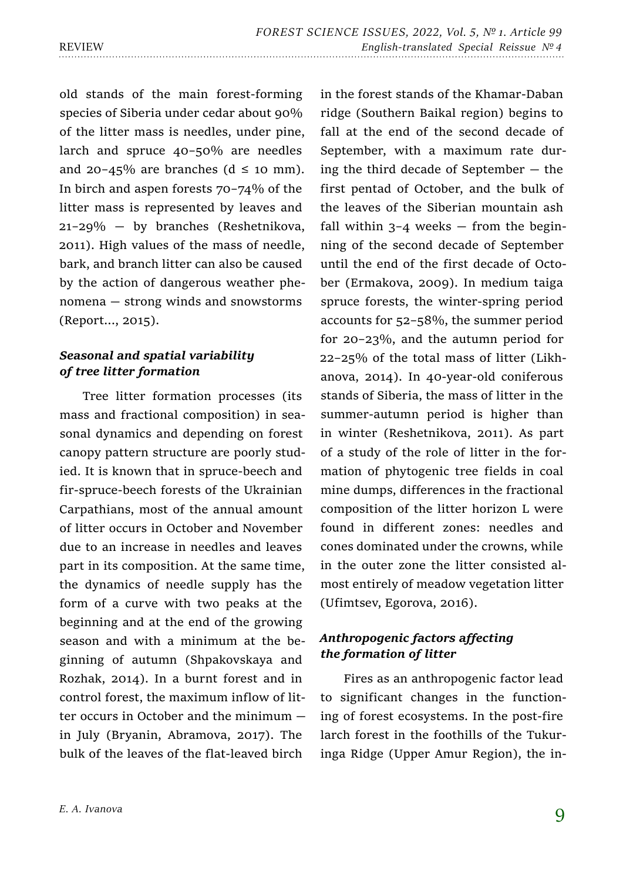old stands of the main forest-forming species of Siberia under cedar about 90% of the litter mass is needles, under pine, larch and spruce 40–50% are needles and 20–45% are branches ( $d \leq 10$  mm). In birch and aspen forests 70–74% of the litter mass is represented by leaves and 21–29% — by branches (Reshetnikova, 2011). High values of the mass of needle, bark, and branch litter can also be caused by the action of dangerous weather phenomena — strong winds and snowstorms (Report..., 2015).

# *Seasonal and spatial variability of tree litter formation*

Tree litter formation processes (its mass and fractional composition) in seasonal dynamics and depending on forest canopy pattern structure are poorly studied. It is known that in spruce-beech and fir-spruce-beech forests of the Ukrainian Carpathians, most of the annual amount of litter occurs in October and November due to an increase in needles and leaves part in its composition. At the same time, the dynamics of needle supply has the form of a curve with two peaks at the beginning and at the end of the growing season and with a minimum at the beginning of autumn (Shpakovskaya and Rozhak, 2014). In a burnt forest and in control forest, the maximum inflow of litter occurs in October and the minimum in July (Bryanin, Abramova, 2017). The bulk of the leaves of the flat-leaved birch

in the forest stands of the Khamar-Daban ridge (Southern Baikal region) begins to fall at the end of the second decade of September, with a maximum rate during the third decade of September — the first pentad of October, and the bulk of the leaves of the Siberian mountain ash fall within  $3-4$  weeks – from the beginning of the second decade of September until the end of the first decade of October (Ermakova, 2009). In medium taiga spruce forests, the winter-spring period accounts for 52–58%, the summer period for 20–23%, and the autumn period for 22–25% of the total mass of litter (Likhanova, 2014). In 40-year-old coniferous stands of Siberia, the mass of litter in the summer-autumn period is higher than in winter (Reshetnikova, 2011). As part of a study of the role of litter in the formation of phytogenic tree fields in coal mine dumps, differences in the fractional composition of the litter horizon L were found in different zones: needles and cones dominated under the crowns, while in the outer zone the litter consisted almost entirely of meadow vegetation litter (Ufimtsev, Egorova, 2016).

# *Anthropogenic factors affecting the formation of litter*

Fires as an anthropogenic factor lead to significant changes in the functioning of forest ecosystems. In the post-fire larch forest in the foothills of the Tukuringa Ridge (Upper Amur Region), the in-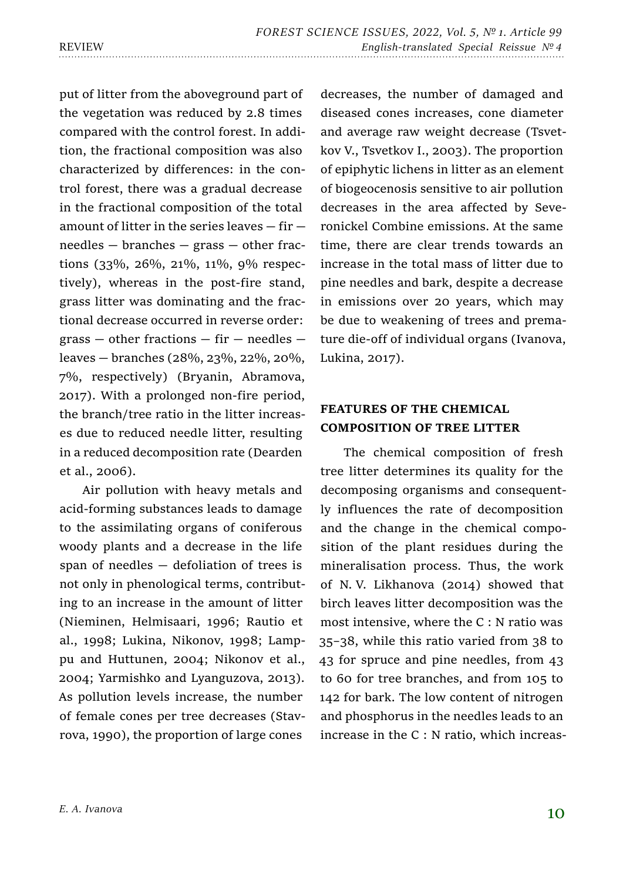put of litter from the aboveground part of the vegetation was reduced by 2.8 times compared with the control forest. In addition, the fractional composition was also characterized by differences: in the control forest, there was a gradual decrease in the fractional composition of the total amount of litter in the series leaves — fir needles — branches — grass — other fractions (33%, 26%, 21%, 11%, 9% respectively), whereas in the post-fire stand, grass litter was dominating and the fractional decrease occurred in reverse order: grass  $-$  other fractions  $-$  fir  $-$  needles  $$ leaves — branches (28%, 23%, 22%, 20%, 7%, respectively) (Bryanin, Abramova, 2017). With a prolonged non-fire period, the branch/tree ratio in the litter increases due to reduced needle litter, resulting in a reduced decomposition rate (Dearden et al., 2006).

Air pollution with heavy metals and acid-forming substances leads to damage to the assimilating organs of coniferous woody plants and a decrease in the life span of needles — defoliation of trees is not only in phenological terms, contributing to an increase in the amount of litter (Nieminen, Helmisaari, 1996; Rautio et al., 1998; Lukina, Nikonov, 1998; Lamppu and Huttunen, 2004; Nikonov et al., 2004; Yarmishko and Lyanguzova, 2013). As pollution levels increase, the number of female cones per tree decreases (Stavrova, 1990), the proportion of large cones

decreases, the number of damaged and diseased cones increases, cone diameter and average raw weight decrease (Tsvetkov V., Tsvetkov I., 2003). The proportion of epiphytic lichens in litter as an element of biogeocenosis sensitive to air pollution decreases in the area affected by Severonickel Combine emissions. At the same time, there are clear trends towards an increase in the total mass of litter due to pine needles and bark, despite a decrease in emissions over 20 years, which may be due to weakening of trees and premature die-off of individual organs (Ivanova, Lukina, 2017).

# **FEATURES OF THE CHEMICAL COMPOSITION OF TREE LITTER**

The chemical composition of fresh tree litter determines its quality for the decomposing organisms and consequently influences the rate of decomposition and the change in the chemical composition of the plant residues during the mineralisation process. Thus, the work of N. V. Likhanova (2014) showed that birch leaves litter decomposition was the most intensive, where the С : N ratio was 35–38, while this ratio varied from 38 to 43 for spruce and pine needles, from 43 to 60 for tree branches, and from 105 to 142 for bark. The low content of nitrogen and phosphorus in the needles leads to an increase in the С : N ratio, which increas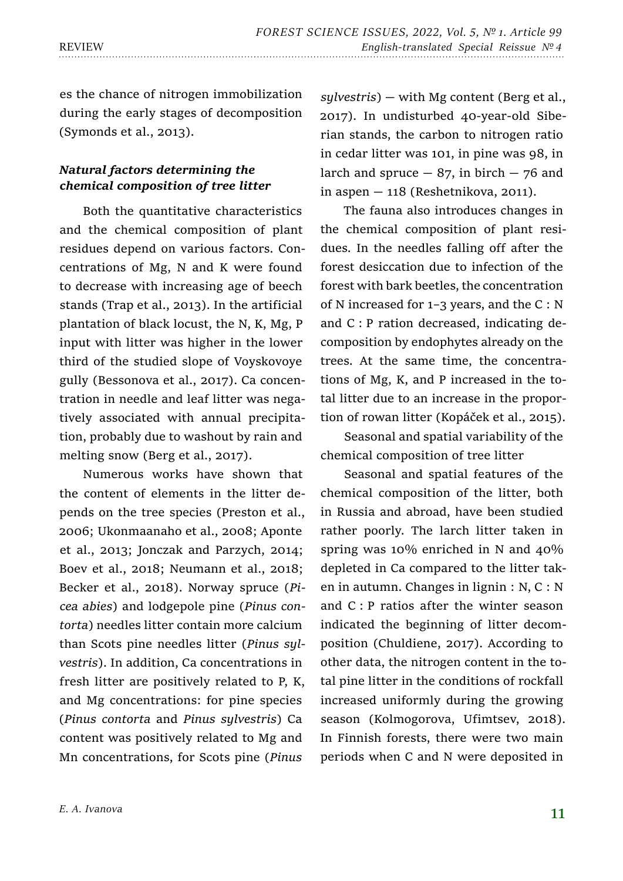es the chance of nitrogen immobilization during the early stages of decomposition (Symonds et al., 2013).

# *Natural factors determining the chemical composition of tree litter*

Both the quantitative characteristics and the chemical composition of plant residues depend on various factors. Concentrations of Mg, N and K were found to decrease with increasing age of beech stands (Trap et al., 2013). In the artificial plantation of black locust, the N, K, Mg, P input with litter was higher in the lower third of the studied slope of Voyskovoye gully (Bessonova et al., 2017). Ca concentration in needle and leaf litter was negatively associated with annual precipitation, probably due to washout by rain and melting snow (Berg et al., 2017).

Numerous works have shown that the content of elements in the litter depends on the tree species (Preston et al., 2006; Ukonmaanaho et al., 2008; Aponte et al., 2013; Jonczak and Parzych, 2014; Boev et al., 2018; Neumann et al., 2018; Becker et al., 2018). Norway spruce (*Picea abies*) and lodgepole pine (*Pinus contorta*) needles litter contain more calcium than Scots pine needles litter (*Pinus sylvestris*). In addition, Ca concentrations in fresh litter are positively related to P, K, and Mg concentrations: for pine species (*Pinus contorta* and *Pinus sylvestris*) Ca content was positively related to Mg and Mn concentrations, for Scots pine (*Pinus* 

*sylvestris*) — with Mg content (Berg et al., 2017). In undisturbed 40-year-old Siberian stands, the carbon to nitrogen ratio in cedar litter was 101, in pine was 98, in larch and spruce  $-87$ , in birch  $-76$  and in aspen  $-118$  (Reshetnikova, 2011).

The fauna also introduces changes in the chemical composition of plant residues. In the needles falling off after the forest desiccation due to infection of the forest with bark beetles, the concentration of N increased for 1–3 years, and the C : N and C : P ration decreased, indicating decomposition by endophytes already on the trees. At the same time, the concentrations of Mg, K, and P increased in the total litter due to an increase in the proportion of rowan litter (Kopáček et al., 2015).

Seasonal and spatial variability of the chemical composition of tree litter

Seasonal and spatial features of the chemical composition of the litter, both in Russia and abroad, have been studied rather poorly. The larch litter taken in spring was 10% enriched in N and 40% depleted in Ca compared to the litter taken in autumn. Changes in lignin : N, C : N and C : P ratios after the winter season indicated the beginning of litter decomposition (Chuldiene, 2017). According to other data, the nitrogen content in the total pine litter in the conditions of rockfall increased uniformly during the growing season (Kolmogorova, Ufimtsev, 2018). In Finnish forests, there were two main periods when C and N were deposited in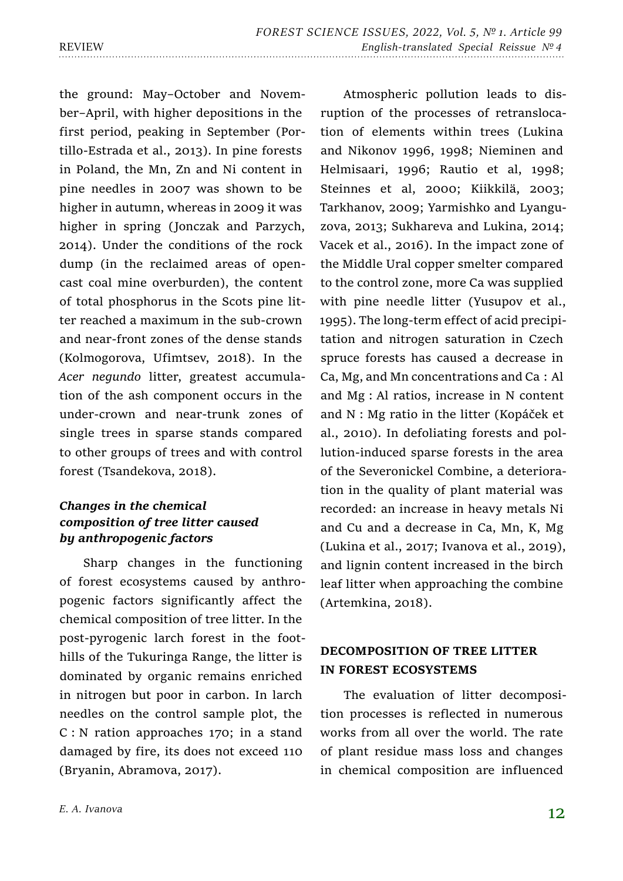the ground: May–October and November–April, with higher depositions in the first period, peaking in September (Portillo-Estrada et al., 2013). In pine forests in Poland, the Mn, Zn and Ni content in pine needles in 2007 was shown to be higher in autumn, whereas in 2009 it was higher in spring (Jonczak and Parzych, 2014). Under the conditions of the rock dump (in the reclaimed areas of opencast coal mine overburden), the content of total phosphorus in the Scots pine litter reached a maximum in the sub-crown and near-front zones of the dense stands (Kolmogorova, Ufimtsev, 2018). In the *Acer negundo* litter, greatest accumulation of the ash component occurs in the under-crown and near-trunk zones of single trees in sparse stands compared to other groups of trees and with control forest (Tsandekova, 2018).

# *Changes in the chemical composition of tree litter caused by anthropogenic factors*

Sharp changes in the functioning of forest ecosystems caused by anthropogenic factors significantly affect the chemical composition of tree litter. In the post-pyrogenic larch forest in the foothills of the Tukuringa Range, the litter is dominated by organic remains enriched in nitrogen but poor in carbon. In larch needles on the control sample plot, the C : N ration approaches 170; in a stand damaged by fire, its does not exceed 110 (Bryanin, Abramova, 2017).

Atmospheric pollution leads to disruption of the processes of retranslocation of elements within trees (Lukina and Nikonov 1996, 1998; Nieminen and Helmisaari, 1996; Rautio et al, 1998; Steinnes et al, 2000; Kiikkilä, 2003; Tarkhanov, 2009; Yarmishko and Lyanguzova, 2013; Sukhareva and Lukina, 2014; Vacek et al., 2016). In the impact zone of the Middle Ural copper smelter compared to the control zone, more Ca was supplied with pine needle litter (Yusupov et al., 1995). The long-term effect of acid precipitation and nitrogen saturation in Czech spruce forests has caused a decrease in Ca, Mg, and Mn concentrations and Ca : Al and Mg : Al ratios, increase in N content and N : Mg ratio in the litter (Kopáček et al., 2010). In defoliating forests and pollution-induced sparse forests in the area of the Severonickel Combine, a deterioration in the quality of plant material was recorded: an increase in heavy metals Ni and Cu and a decrease in Ca, Mn, K, Mg (Lukina et al., 2017; Ivanova et al., 2019), and lignin content increased in the birch leaf litter when approaching the combine (Artemkina, 2018).

# **DECOMPOSITION OF TREE LITTER IN FOREST ECOSYSTEMS**

The evaluation of litter decomposition processes is reflected in numerous works from all over the world. The rate of plant residue mass loss and changes in chemical composition are influenced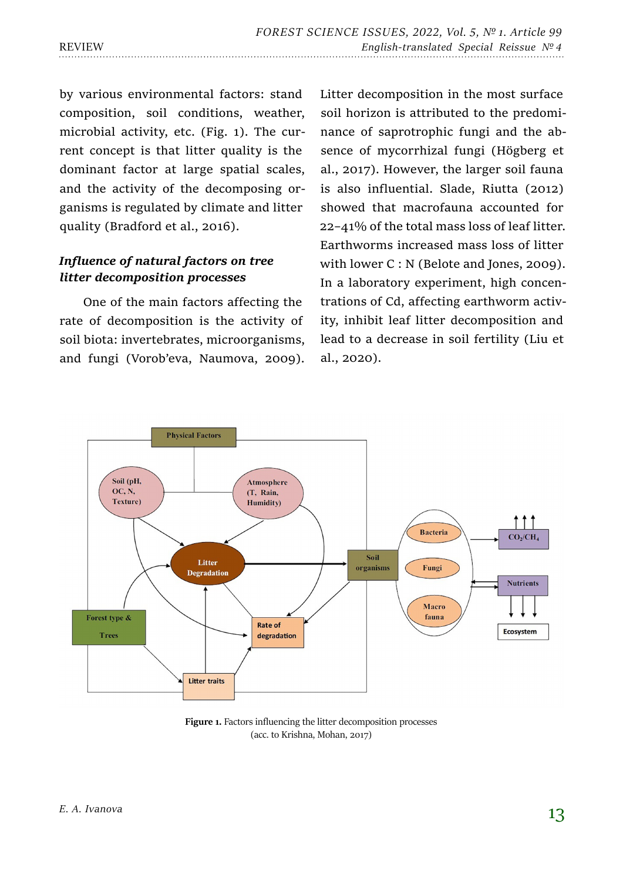by various environmental factors: stand composition, soil conditions, weather, microbial activity, etc. (Fig. 1). The current concept is that litter quality is the dominant factor at large spatial scales, and the activity of the decomposing organisms is regulated by climate and litter quality (Bradford et al., 2016).

# *Influence of natural factors on tree litter decomposition processes*

One of the main factors affecting the rate of decomposition is the activity of soil biota: invertebrates, microorganisms, and fungi (Vorob'eva, Naumova, 2009).

Litter decomposition in the most surface soil horizon is attributed to the predominance of saprotrophic fungi and the absence of mycorrhizal fungi (Högberg et al., 2017). However, the larger soil fauna is also influential. Slade, Riutta (2012) showed that macrofauna accounted for 22–41% of the total mass loss of leaf litter. Earthworms increased mass loss of litter with lower C : N (Belote and Jones, 2009). In a laboratory experiment, high concentrations of Cd, affecting earthworm activity, inhibit leaf litter decomposition and lead to a decrease in soil fertility (Liu et al., 2020).



Figure 1. Factors influencing the litter decomposition processes (acc. to Krishna, Mohan, 2017)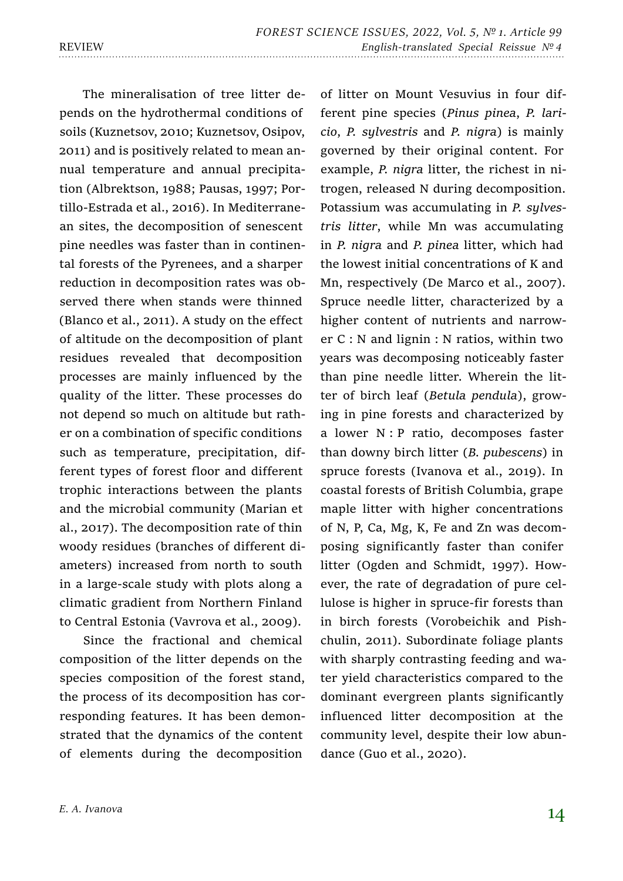of litter on Mount Vesuvius in four dif-

The mineralisation of tree litter depends on the hydrothermal conditions of soils (Kuznetsov, 2010; Kuznetsov, Osipov, 2011) and is positively related to mean annual temperature and annual precipitation (Albrektson, 1988; Pausas, 1997; Portillo-Estrada et al., 2016). In Mediterranean sites, the decomposition of senescent pine needles was faster than in continental forests of the Pyrenees, and a sharper reduction in decomposition rates was observed there when stands were thinned (Blanco et al., 2011). A study on the effect of altitude on the decomposition of plant residues revealed that decomposition processes are mainly influenced by the quality of the litter. These processes do not depend so much on altitude but rather on a combination of specific conditions such as temperature, precipitation, different types of forest floor and different trophic interactions between the plants and the microbial community (Marian et al., 2017). The decomposition rate of thin woody residues (branches of different diameters) increased from north to south in a large-scale study with plots along a climatic gradient from Northern Finland to Central Estonia (Vavrova et al., 2009).

Since the fractional and chemical composition of the litter depends on the species composition of the forest stand, the process of its decomposition has corresponding features. It has been demonstrated that the dynamics of the content of elements during the decomposition

ferent pine species (*Pinus pinea*, *P. laricio*, *P. sylvestris* and *P. nigra*) is mainly governed by their original content. For example, *P. nigra* litter, the richest in nitrogen, released N during decomposition. Potassium was accumulating in *P. sylvestris litter*, while Mn was accumulating in *P. nigra* and *P. pinea* litter, which had the lowest initial concentrations of K and Mn, respectively (De Marco et al., 2007). Spruce needle litter, characterized by a higher content of nutrients and narrower C : N and lignin : N ratios, within two years was decomposing noticeably faster than pine needle litter. Wherein the litter of birch leaf (*Betula pendula*), growing in pine forests and characterized by a lower N : P ratio, decomposes faster than downy birch litter (*B. pubescens*) in spruce forests (Ivanova et al., 2019). In coastal forests of British Columbia, grape maple litter with higher concentrations of N, P, Ca, Mg, K, Fe and Zn was decomposing significantly faster than conifer litter (Ogden and Schmidt, 1997). However, the rate of degradation of pure cellulose is higher in spruce-fir forests than in birch forests (Vorobeichik and Pishchulin, 2011). Subordinate foliage plants with sharply contrasting feeding and water yield characteristics compared to the dominant evergreen plants significantly influenced litter decomposition at the community level, despite their low abundance (Guo et al., 2020).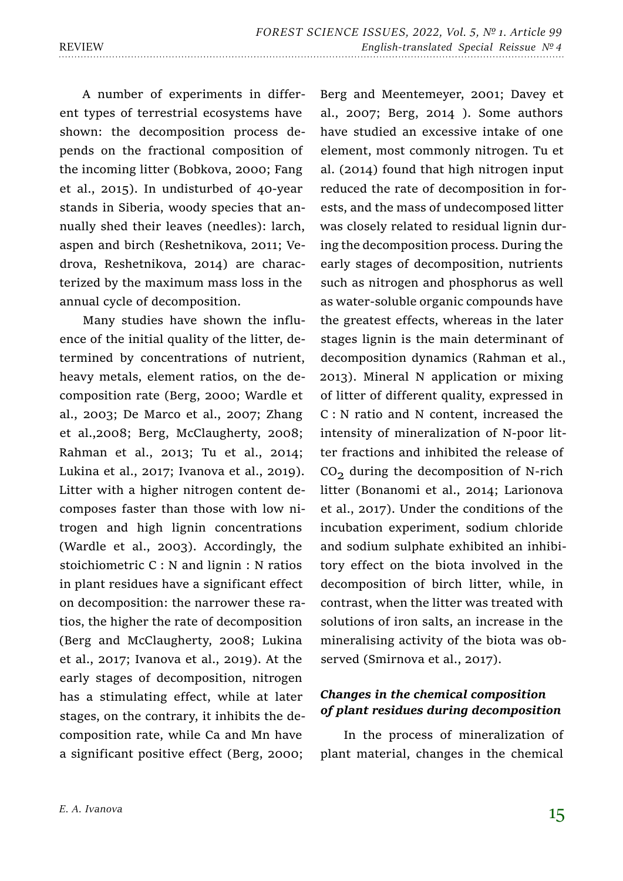A number of experiments in different types of terrestrial ecosystems have shown: the decomposition process depends on the fractional composition of the incoming litter (Bobkova, 2000; Fang et al., 2015). In undisturbed of 40-year stands in Siberia, woody species that annually shed their leaves (needles): larch, aspen and birch (Reshetnikova, 2011; Vedrova, Reshetnikova, 2014) are characterized by the maximum mass loss in the annual cycle of decomposition.

Many studies have shown the influence of the initial quality of the litter, determined by concentrations of nutrient, heavy metals, element ratios, on the decomposition rate (Berg, 2000; Wardle et al., 2003; De Marco et al., 2007; Zhang et al.,2008; Berg, McClaugherty, 2008; Rahman et al., 2013; Tu et al., 2014; Lukina et al., 2017; Ivanova et al., 2019). Litter with a higher nitrogen content decomposes faster than those with low nitrogen and high lignin concentrations (Wardle et al., 2003). Accordingly, the stoichiometric C : N and lignin : N ratios in plant residues have a significant effect on decomposition: the narrower these ratios, the higher the rate of decomposition (Berg and McClaugherty, 2008; Lukina et al., 2017; Ivanova et al., 2019). At the early stages of decomposition, nitrogen has a stimulating effect, while at later stages, on the contrary, it inhibits the decomposition rate, while Ca and Mn have a significant positive effect (Berg, 2000;

Berg and Meentemeyer, 2001; Davey et al., 2007; Berg, 2014 ). Some authors have studied an excessive intake of one element, most commonly nitrogen. Tu et al. (2014) found that high nitrogen input reduced the rate of decomposition in forests, and the mass of undecomposed litter was closely related to residual lignin during the decomposition process. During the early stages of decomposition, nutrients such as nitrogen and phosphorus as well as water-soluble organic compounds have the greatest effects, whereas in the later stages lignin is the main determinant of decomposition dynamics (Rahman et al., 2013). Mineral N application or mixing of litter of different quality, expressed in C : N ratio and N content, increased the intensity of mineralization of N-poor litter fractions and inhibited the release of  $CO<sub>2</sub>$  during the decomposition of N-rich litter (Bonanomi et al., 2014; Larionova et al., 2017). Under the conditions of the incubation experiment, sodium chloride and sodium sulphate exhibited an inhibitory effect on the biota involved in the decomposition of birch litter, while, in contrast, when the litter was treated with solutions of iron salts, an increase in the mineralising activity of the biota was observed (Smirnova et al., 2017).

### *Changes in the chemical composition of plant residues during decomposition*

In the process of mineralization of plant material, changes in the chemical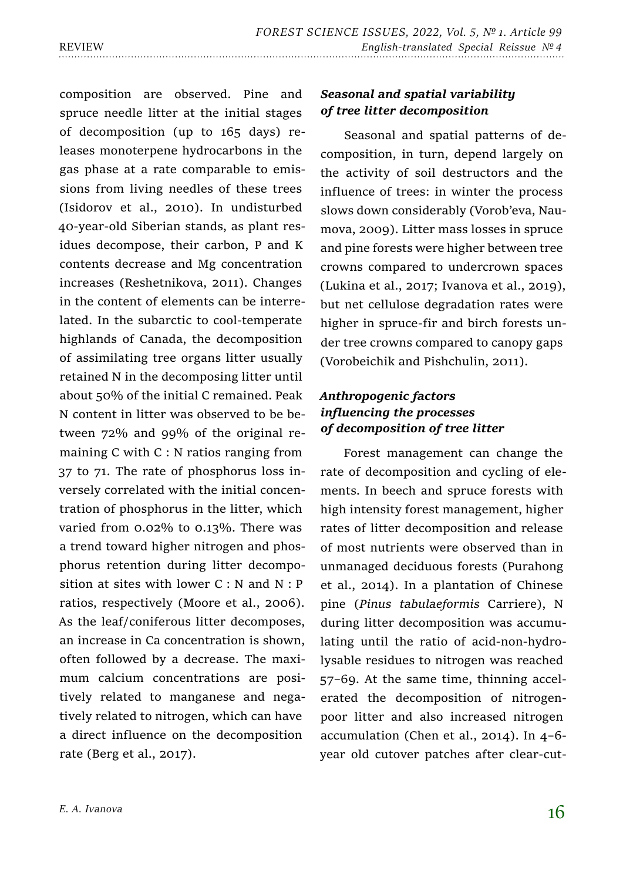composition are observed. Pine and spruce needle litter at the initial stages of decomposition (up to 165 days) releases monoterpene hydrocarbons in the gas phase at a rate comparable to emissions from living needles of these trees (Isidorov et al., 2010). In undisturbed 40-year-old Siberian stands, as plant residues decompose, their carbon, P and K contents decrease and Mg concentration increases (Reshetnikova, 2011). Changes in the content of elements can be interrelated. In the subarctic to cool-temperate highlands of Canada, the decomposition of assimilating tree organs litter usually retained N in the decomposing litter until about 50% of the initial C remained. Peak N content in litter was observed to be between 72% and 99% of the original remaining C with C : N ratios ranging from 37 to 71. The rate of phosphorus loss inversely correlated with the initial concentration of phosphorus in the litter, which varied from 0.02% to 0.13%. There was a trend toward higher nitrogen and phosphorus retention during litter decomposition at sites with lower  $C : N$  and  $N : P$ ratios, respectively (Moore et al., 2006). As the leaf/coniferous litter decomposes, an increase in Ca concentration is shown, often followed by a decrease. The maximum calcium concentrations are positively related to manganese and negatively related to nitrogen, which can have a direct influence on the decomposition rate (Berg et al., 2017).

### *E. A. Ivanova*

*Seasonal and spatial variability of tree litter decomposition*

Seasonal and spatial patterns of decomposition, in turn, depend largely on the activity of soil destructors and the influence of trees: in winter the process slows down considerably (Vorob'eva, Naumova, 2009). Litter mass losses in spruce and pine forests were higher between tree crowns compared to undercrown spaces (Lukina et al., 2017; Ivanova et al., 2019), but net cellulose degradation rates were higher in spruce-fir and birch forests under tree crowns compared to canopy gaps (Vorobeichik and Pishchulin, 2011).

# *Anthropogenic factors influencing the processes of decomposition of tree litter*

Forest management can change the rate of decomposition and cycling of elements. In beech and spruce forests with high intensity forest management, higher rates of litter decomposition and release of most nutrients were observed than in unmanaged deciduous forests (Purahong et al., 2014). In a plantation of Chinese pine (*Pinus tabulaeformis* Carriere), N during litter decomposition was accumulating until the ratio of acid-non-hydrolysable residues to nitrogen was reached 57–69. At the same time, thinning accelerated the decomposition of nitrogenpoor litter and also increased nitrogen accumulation (Chen et al., 2014). In 4–6 year old cutover patches after clear-cut-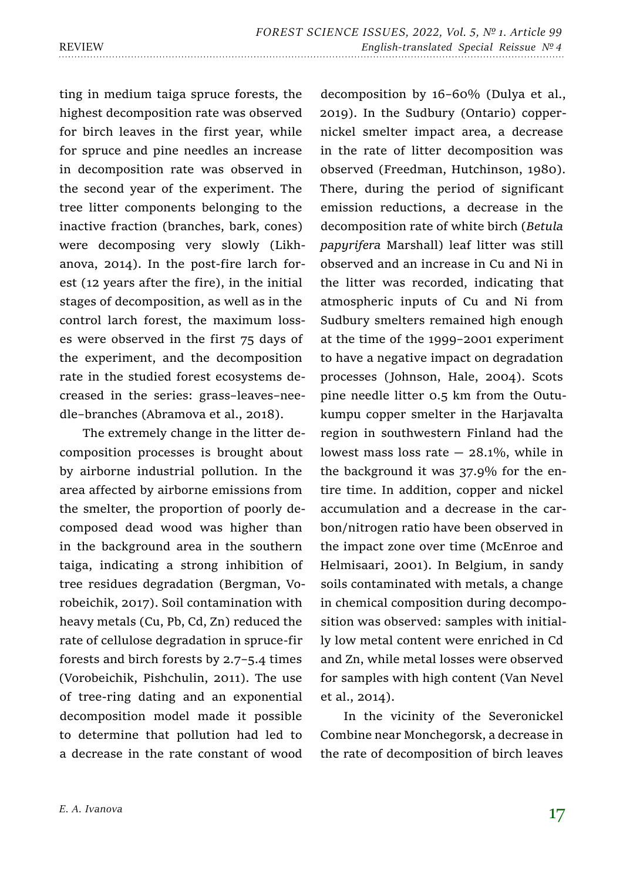ting in medium taiga spruce forests, the highest decomposition rate was observed for birch leaves in the first year, while for spruce and pine needles an increase in decomposition rate was observed in the second year of the experiment. The tree litter components belonging to the inactive fraction (branches, bark, cones) were decomposing very slowly (Likhanova, 2014). In the post-fire larch forest (12 years after the fire), in the initial stages of decomposition, as well as in the control larch forest, the maximum losses were observed in the first 75 days of the experiment, and the decomposition rate in the studied forest ecosystems decreased in the series: grass–leaves–needle–branches (Abramova et al., 2018).

The extremely change in the litter decomposition processes is brought about by airborne industrial pollution. In the area affected by airborne emissions from the smelter, the proportion of poorly decomposed dead wood was higher than in the background area in the southern taiga, indicating a strong inhibition of tree residues degradation (Bergman, Vorobeichik, 2017). Soil contamination with heavy metals (Cu, Pb, Cd, Zn) reduced the rate of cellulose degradation in spruce-fir forests and birch forests by 2.7–5.4 times (Vorobeichik, Pishchulin, 2011). The use of tree-ring dating and an exponential decomposition model made it possible to determine that pollution had led to a decrease in the rate constant of wood

decomposition by 16–60% (Dulya et al., 2019). In the Sudbury (Ontario) coppernickel smelter impact area, a decrease in the rate of litter decomposition was observed (Freedman, Hutchinson, 1980). There, during the period of significant emission reductions, a decrease in the decomposition rate of white birch (*Betula papyrifera* Marshall) leaf litter was still observed and an increase in Cu and Ni in the litter was recorded, indicating that atmospheric inputs of Cu and Ni from Sudbury smelters remained high enough at the time of the 1999–2001 experiment to have a negative impact on degradation processes (Johnson, Hale, 2004). Scots pine needle litter 0.5 km from the Outukumpu copper smelter in the Harjavalta region in southwestern Finland had the lowest mass loss rate  $-28.1\%$ , while in the background it was 37.9% for the entire time. In addition, copper and nickel accumulation and a decrease in the carbon/nitrogen ratio have been observed in the impact zone over time (McEnroe and Helmisaari, 2001). In Belgium, in sandy soils contaminated with metals, a change in chemical composition during decomposition was observed: samples with initially low metal content were enriched in Cd and Zn, while metal losses were observed for samples with high content (Van Nevel et al., 2014).

In the vicinity of the Severonickel Combine near Monchegorsk, a decrease in the rate of decomposition of birch leaves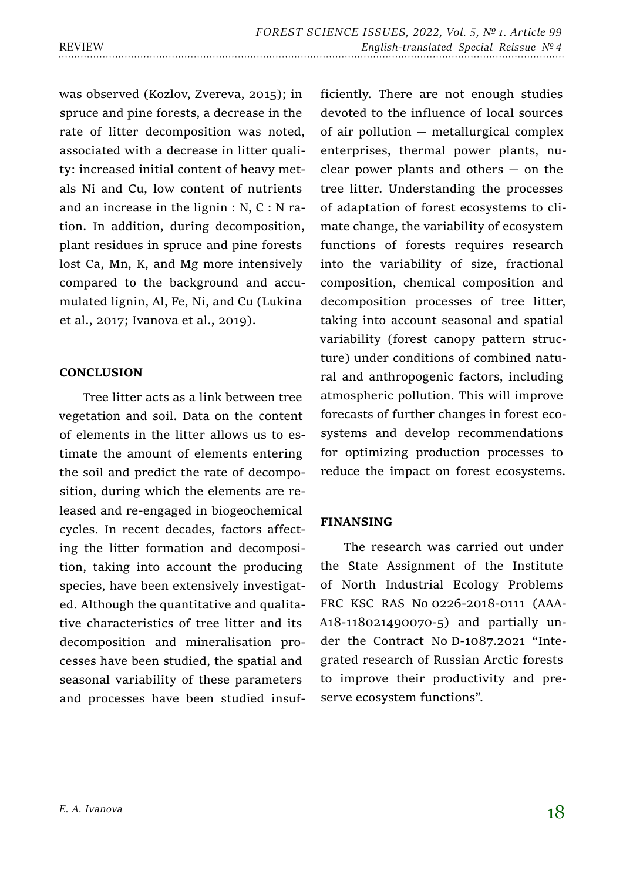was observed (Kozlov, Zvereva, 2015); in spruce and pine forests, a decrease in the rate of litter decomposition was noted, associated with a decrease in litter quality: increased initial content of heavy metals Ni and Cu, low content of nutrients and an increase in the lignin : N, C : N ration. In addition, during decomposition, plant residues in spruce and pine forests lost Ca, Mn, K, and Mg more intensively compared to the background and accumulated lignin, Al, Fe, Ni, and Cu (Lukina et al., 2017; Ivanova et al., 2019).

### **CONCLUSION**

Tree litter acts as a link between tree vegetation and soil. Data on the content of elements in the litter allows us to estimate the amount of elements entering the soil and predict the rate of decomposition, during which the elements are released and re-engaged in biogeochemical cycles. In recent decades, factors affecting the litter formation and decomposition, taking into account the producing species, have been extensively investigated. Although the quantitative and qualitative characteristics of tree litter and its decomposition and mineralisation processes have been studied, the spatial and seasonal variability of these parameters and processes have been studied insufficiently. There are not enough studies devoted to the influence of local sources of air pollution — metallurgical complex enterprises, thermal power plants, nuclear power plants and others  $-$  on the tree litter. Understanding the processes of adaptation of forest ecosystems to climate change, the variability of ecosystem functions of forests requires research into the variability of size, fractional composition, chemical composition and decomposition processes of tree litter, taking into account seasonal and spatial variability (forest canopy pattern structure) under conditions of combined natural and anthropogenic factors, including atmospheric pollution. This will improve forecasts of further changes in forest ecosystems and develop recommendations for optimizing production processes to reduce the impact on forest ecosystems.

### **FINANSING**

The research was carried out under the State Assignment of the Institute of North Industrial Ecology Problems FRC KSC RAS No 0226-2018-0111 (AAA-A18-118021490070-5) and partially under the Contract No D-1087.2021 "Integrated research of Russian Arctic forests to improve their productivity and preserve ecosystem functions".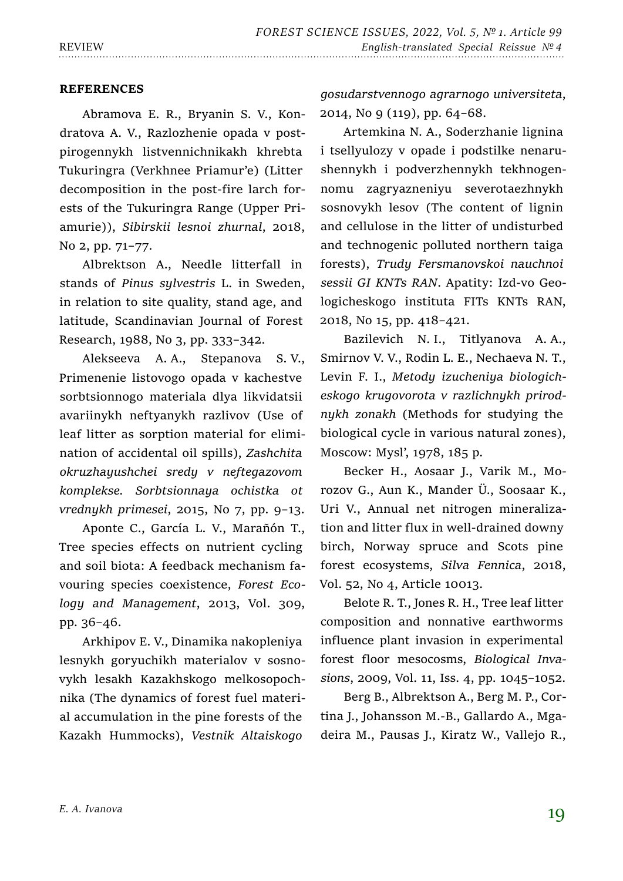#### **REFERENCES**

Abramova E. R., Bryanin S. V., Kondratova A. V., Razlozhenie opada v postpirogennykh listvennichnikakh khrebta Tukuringra (Verkhnee Priamur'e) (Litter decomposition in the post-fire larch forests of the Tukuringra Range (Upper Priamurie)), *Sibirskii lesnoi zhurnal*, 2018, No 2, pp. 71–77.

Albrektson A., Needle litterfall in stands of *Pinus sylvestris* L. in Sweden, in relation to site quality, stand age, and latitude, Scandinavian Journal of Forest Research, 1988, No 3, pp. 333–342.

Alekseeva A. A., Stepanova S. V., Primenenie listovogo opada v kachestve sorbtsionnogo materiala dlya likvidatsii avariinykh neftyanykh razlivov (Use of leaf litter as sorption material for elimination of accidental oil spills), *Zashchita okruzhayushchei sredy v neftegazovom komplekse. Sorbtsionnaya ochistka ot vrednykh primesei*, 2015, No 7, pp. 9–13.

Aponte C., García L. V., Marañón T., Tree species effects on nutrient cycling and soil biota: A feedback mechanism favouring species coexistence, *Forest Ecology and Management*, 2013, Vol. 309, рр. 36–46.

Arkhipov E. V., Dinamika nakopleniya lesnykh goryuchikh materialov v sosnovykh lesakh Kazakhskogo melkosopochnika (The dynamics of forest fuel material accumulation in the pine forests of the Kazakh Hummocks), *Vestnik Altaiskogo* 

*gosudarstvennogo agrarnogo universiteta*, 2014, No 9 (119), pp. 64–68.

Artemkina N. A., Soderzhanie lignina i tsellyulozy v opade i podstilke nenarushennykh i podverzhennykh tekhnogennomu zagryazneniyu severotaezhnykh sosnovykh lesov (The content of lignin and cellulose in the litter of undisturbed and technogenic polluted northern taiga forests), *Trudy Fersmanovskoi nauchnoi sessii GI KNTs RAN*. Apatity: Izd-vo Geologicheskogo instituta FITs KNTs RAN, 2018, No 15, pp. 418–421.

Bazilevich N. I., Titlyanova A. A., Smirnov V. V., Rodin L. E., Nechaeva N. T., Levin F. I., *Metody izucheniya biologicheskogo krugovorota v razlichnykh prirodnykh zonakh* (Methods for studying the biological cycle in various natural zones), Moscow: Mysl', 1978, 185 p.

Becker H., Aosaar J., Varik M., Morozov G., Aun K., Mander Ü., Soosaar K., Uri V., Annual net nitrogen mineralization and litter flux in well-drained downy birch, Norway spruce and Scots pine forest ecosystems, *Silva Fennica*, 2018, Vol. 52, No 4, Article 10013.

Belote R. T., Jones R. H., Tree leaf litter composition and nonnative earthworms influence plant invasion in experimental forest floor mesocosms, *Biological Invasions*, 2009, Vol. 11, Iss. 4, pp. 1045–1052.

Berg B., Albrektson A., Berg M. P., Cortina J., Johansson M.-B., Gallardo A., Mgadeira M., Pausas J., Kiratz W., Vallejo R.,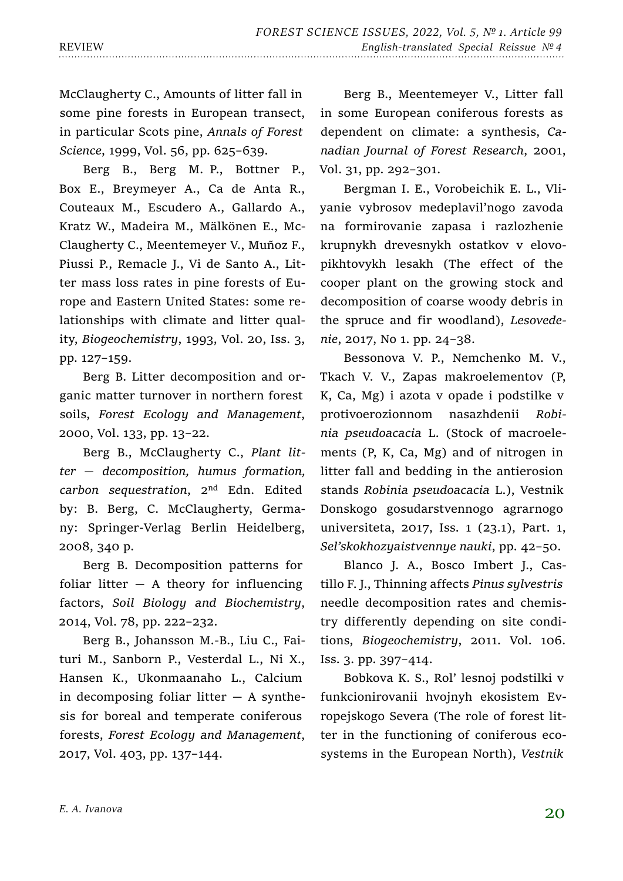McClaugherty C., Amounts of litter fall in some pine forests in European transect, in particular Scots pine, *Annals of Forest Science*, 1999, Vol. 56, pp. 625–639.

Berg B., Berg M. P., Bottner P., Box E., Breymeyer A., Ca de Anta R., Couteaux M., Escudero A., Gallardo A., Kratz W., Madeira M., Mälkönen E., Mc-Claugherty C., Meentemeyer V., Muñoz F., Piussi P., Remacle J., Vi de Santo A., Litter mass loss rates in pine forests of Europe and Eastern United States: some relationships with climate and litter quality, *Biogeochemistry*, 1993, Vol. 20, Iss. 3, pp. 127–159.

Berg B. Litter decomposition and organic matter turnover in northern forest soils, *Forest Ecology and Management*, 2000, Vol. 133, рр. 13–22.

Berg B., McClaugherty C., *Plant litter — decomposition, humus formation, carbon sequestration*, 2nd Edn. Edited by: B. Berg, C. McClaugherty, Germany: Springer-Verlag Berlin Heidelberg, 2008, 340 p.

Berg B. Decomposition patterns for foliar litter  $-$  A theory for influencing factors, *Soil Biology and Biochemistry*, 2014, Vol. 78, рр. 222–232.

Berg B., Johansson M.-B., Liu C., Faituri M., Sanborn P., Vesterdal L., Ni X., Hansen K., Ukonmaanaho L., Calcium in decomposing foliar litter  $-$  A synthesis for boreal and temperate coniferous forests, *Forest Ecology and Management*, 2017, Vol. 403, рр. 137–144.

Berg B., Meentemeyer V., Litter fall in some European coniferous forests as dependent on climate: a synthesis, *Canadian Journal of Forest Research*, 2001, Vol. 31, pp. 292–301.

Bergman I. E., Vorobeichik E. L., Vliyanie vybrosov medeplavil'nogo zavoda na formirovanie zapasa i razlozhenie krupnykh drevesnykh ostatkov v elovopikhtovykh lesakh (The effect of the cooper plant on the growing stock and decomposition of coarse woody debris in the spruce and fir woodland), *Lesovedenie*, 2017, No 1. pp. 24–38.

Bessonova V. P., Nemchenko M. V., Tkach V. V., Zapas makroelementov (P, K, Ca, Mg) i azota v opade i podstilke v protivoerozionnom nasazhdenii *Robinia pseudoacacia* L. (Stock of macroelements (P, K, Ca, Mg) and of nitrogen in litter fall and bedding in the antierosion stands *Robinia pseudoacacia* L.), Vestnik Donskogo gosudarstvennogo agrarnogo universiteta, 2017, Iss. 1 (23.1), Part. 1, *Sel'skokhozyaistvennye nauki*, pp. 42–50.

Blanco J. A., Bosco Imbert J., Castillo F. J., Thinning affects *Pinus sylvestris*  needle decomposition rates and chemistry differently depending on site conditions, *Biogeochemistry*, 2011. Vol. 106. Iss. 3. pp. 397–414.

Bobkova K. S., Rol' lesnoj podstilki v funkcionirovanii hvojnyh ekosistem Evropejskogo Severa (The role of forest litter in the functioning of coniferous ecosystems in the European North), *Vestnik*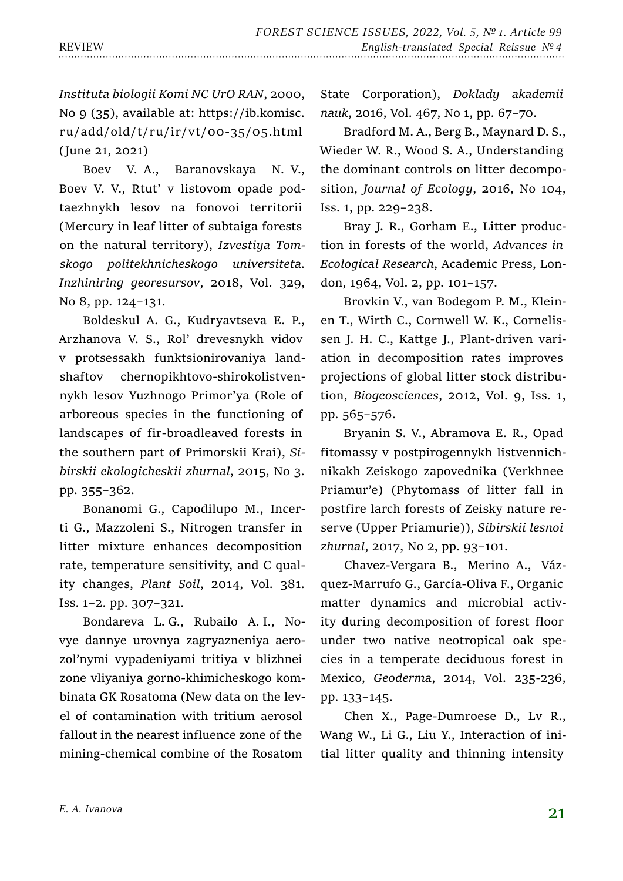*Instituta biologii Komi NC UrO RAN*, 2000, No 9 (35), available at: https://ib.komisc. ru/add/old/t/ru/ir/vt/00-35/05.html (June 21, 2021)

Boev V. A., Baranovskaya N. V., Boev V. V., Rtut' v listovom opade podtaezhnykh lesov na fonovoi territorii (Mercury in leaf litter of subtaiga forests on the natural territory), *Izvestiya Tomskogo politekhnicheskogo universiteta. Inzhiniring georesursov*, 2018, Vol. 329, No 8, pp. 124–131.

Boldeskul A. G., Kudryavtseva E. P., Arzhanova V. S., Rol' drevesnykh vidov v protsessakh funktsionirovaniya landshaftov chernopikhtovo-shirokolistvennykh lesov Yuzhnogo Primor'ya (Role of arboreous species in the functioning of landscapes of fir-broadleaved forests in the southern part of Primorskii Krai), *Sibirskii ekologicheskii zhurnal*, 2015, No 3. pp. 355–362.

Bonanomi G., Capodilupo M., Incerti G., Mazzoleni S., Nitrogen transfer in litter mixture enhances decomposition rate, temperature sensitivity, and C quality changes, *Plant Soil*, 2014, Vol. 381. Iss. 1–2. рр. 307–321.

Bondareva L. G., Rubailo A. I., Novye dannye urovnya zagryazneniya aerozol'nymi vypadeniyami tritiya v blizhnei zone vliyaniya gorno-khimicheskogo kombinata GK Rosatoma (New data on the level of contamination with tritium aerosol fallout in the nearest influence zone of the mining-chemical combine of the Rosatom

State Corporation), *Doklady akademii nauk*, 2016, Vol. 467, No 1, pp. 67–70.

Bradford M. A., Berg B., Maynard D. S., Wieder W. R., Wood S. A., Understanding the dominant controls on litter decomposition, *Journal of Ecology*, 2016, No 104, Iss. 1, рр. 229–238.

Bray J. R., Gorham E., Litter production in forests of the world, *Advances in Ecological Research*, Academic Press, London, 1964, Vol. 2, pp. 101–157.

Brovkin V., van Bodegom P. M., Kleinen T., Wirth C., Cornwell W. K., Cornelissen J. H. C., Kattge J., Plant-driven variation in decomposition rates improves projections of global litter stock distribution, *Biogeosciences*, 2012, Vol. 9, Iss. 1, pp. 565–576.

Bryanin S. V., Abramova E. R., Opad fitomassy v postpirogennykh listvennichnikakh Zeiskogo zapovednika (Verkhnee Priamur'e) (Phytomass of litter fall in postfire larch forests of Zeisky nature reserve (Upper Priamurie)), *Sibirskii lesnoi zhurnal*, 2017, No 2, pp. 93–101.

Chavez-Vergara B., Merino A., Vázquez-Marrufo G., García-Oliva F., Organic matter dynamics and microbial activity during decomposition of forest floor under two native neotropical oak species in a temperate deciduous forest in Mexico, *Geoderma*, 2014, Vol. 235-236, рр. 133–145.

Chen X., Page-Dumroese D., Lv R., Wang W., Li G., Liu Y., Interaction of initial litter quality and thinning intensity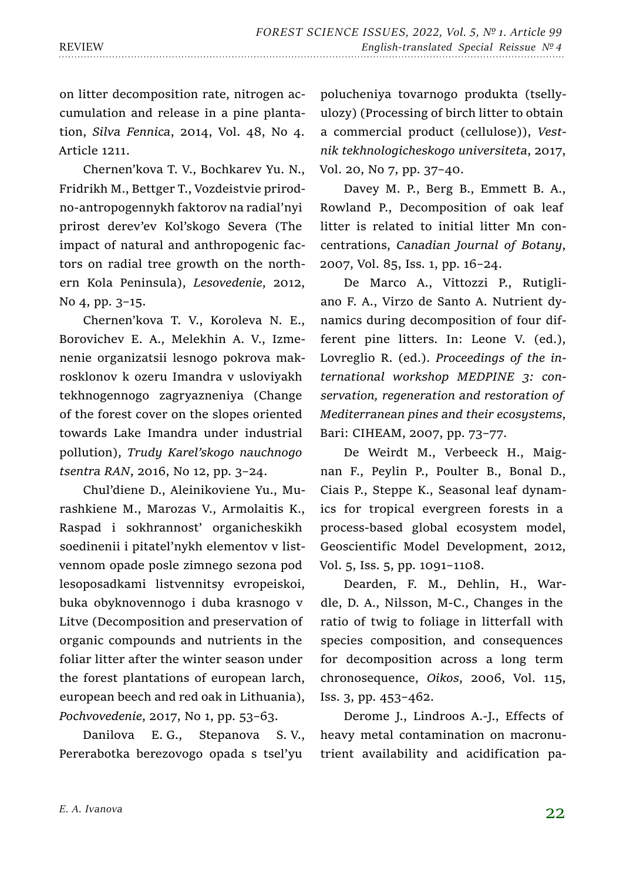on litter decomposition rate, nitrogen accumulation and release in a pine plantation, *Silva Fennica*, 2014, Vol. 48, No 4. Article 1211.

Chernen'kova T. V., Bochkarev Yu. N., Fridrikh M., Bettger T., Vozdeistvie prirodno-antropogennykh faktorov na radial'nyi prirost derev'ev Kol'skogo Severa (The impact of natural and anthropogenic factors on radial tree growth on the northern Kola Peninsula), *Lesovedenie*, 2012, No 4, pp. 3–15.

Chernen'kova T. V., Koroleva N. E., Borovichev E. A., Melekhin A. V., Izmenenie organizatsii lesnogo pokrova makrosklonov k ozeru Imandra v usloviyakh tekhnogennogo zagryazneniya (Change of the forest cover on the slopes oriented towards Lake Imandra under industrial pollution), *Trudy Karel'skogo nauchnogo tsentra RAN*, 2016, No 12, pp. 3–24.

Chul'diene D., Aleinikoviene Yu., Murashkiene M., Marozas V., Armolaitis K., Raspad i sokhrannost' organicheskikh soedinenii i pitatel'nykh elementov v listvennom opade posle zimnego sezona pod lesoposadkami listvennitsy evropeiskoi, buka obyknovennogo i duba krasnogo v Litve (Decomposition and preservation of organic compounds and nutrients in the foliar litter after the winter season under the forest plantations of european larch, european beech and red oak in Lithuania), *Pochvovedenie*, 2017, No 1, pp. 53–63.

Danilova E. G., Stepanova S. V., Pererabotka berezovogo opada s tsel'yu

polucheniya tovarnogo produkta (tsellyulozy) (Processing of birch litter to obtain a commercial product (cellulose)), *Vestnik tekhnologicheskogo universiteta*, 2017, Vol. 20, No 7, pp. 37–40.

Davey M. P., Berg B., Emmett B. A., Rowland P., Decomposition of oak leaf litter is related to initial litter Mn concentrations, *Canadian Journal of Botany*, 2007, Vol. 85, Iss. 1, pp. 16–24.

De Marco A., Vittozzi P., Rutigliano F. A., Virzo de Santo A. Nutrient dynamics during decomposition of four different pine litters. In: Leone V. (ed.), Lovreglio R. (ed.). *Proceedings of the international workshop MEDPINE 3: conservation, regeneration and restoration of Mediterranean pines and their ecosystems*, Bari: CIHEAM, 2007, pp. 73–77.

De Weirdt M., Verbeeck H., Maignan F., Peylin P., Poulter B., Bonal D., Ciais P., Steppe K., Seasonal leaf dynamics for tropical evergreen forests in a process-based global ecosystem model, Geoscientific Model Development, 2012, Vol. 5, Iss. 5, pp. 1091–1108.

Dearden, F. M., Dehlin, H., Wardle, D. A., Nilsson, M-C., Changes in the ratio of twig to foliage in litterfall with species composition, and consequences for decomposition across a long term chronosequence, *Oikos*, 2006, Vol. 115, Iss. 3, pp. 453–462.

Derome J., Lindroos A.-J., Effects of heavy metal contamination on macronutrient availability and acidification pa-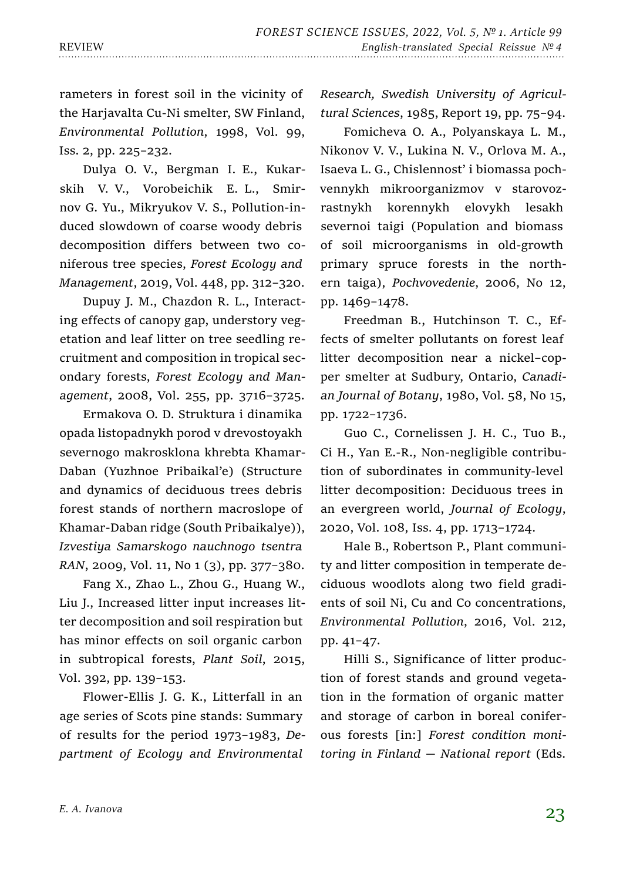rameters in forest soil in the vicinity of the Harjavalta Cu-Ni smelter, SW Finland, *Environmental Pollution*, 1998, Vol. 99, Iss. 2, pp. 225–232.

Dulya O. V., Bergman I. E., Kukarskih V. V., Vorobeichik E. L., Smirnov G. Yu., Mikryukov V. S., Pollution-induced slowdown of coarse woody debris decomposition differs between two coniferous tree species, *Forest Ecology and Management*, 2019, Vol. 448, pp. 312–320.

Dupuy J. M., Chazdon R. L., Interacting effects of canopy gap, understory vegetation and leaf litter on tree seedling recruitment and composition in tropical secondary forests, *Forest Ecology and Management*, 2008, Vol. 255, pp. 3716–3725.

Ermakova O. D. Struktura i dinamika opada listopadnykh porod v drevostoyakh severnogo makrosklona khrebta Khamar-Daban (Yuzhnoe Pribaikal'e) (Structure and dynamics of deciduous trees debris forest stands of northern macroslope of Khamar-Daban ridge (South Pribaikalye)), *Izvestiya Samarskogo nauchnogo tsentra RAN*, 2009, Vol. 11, No 1 (3), pp. 377–380.

Fang X., Zhao L., Zhou G., Huang W., Liu J., Increased litter input increases litter decomposition and soil respiration but has minor effects on soil organic carbon in subtropical forests, *Plant Soil*, 2015, Vol. 392, pp. 139–153.

Flower-Ellis J. G. K., Litterfall in an age series of Scots pine stands: Summary of results for the period 1973–1983, *Department of Ecology and Environmental* 

*Research, Swedish University of Agricultural Sciences*, 1985, Report 19, pp. 75–94.

Fomicheva O. A., Polyanskaya L. M., Nikonov V. V., Lukina N. V., Orlova M. A., Isaeva L. G., Chislennost' i biomassa pochvennykh mikroorganizmov v starovozrastnykh korennykh elovykh lesakh severnoi taigi (Population and biomass of soil microorganisms in old-growth primary spruce forests in the northern taiga), *Pochvovedenie*, 2006, No 12, pp. 1469–1478.

Freedman B., Hutchinson T. C., Effects of smelter pollutants on forest leaf litter decomposition near a nickel–copper smelter at Sudbury, Ontario, *Canadian Journal of Botany*, 1980, Vol. 58, No 15, pp. 1722–1736.

Guo C., Cornelissen J. H. C., Tuo B., Ci H., Yan E.-R., Non-negligible contribution of subordinates in community-level litter decomposition: Deciduous trees in an evergreen world, *Journal of Ecology*, 2020, Vol. 108, Iss. 4, pp. 1713–1724.

Hale B., Robertson P., Plant community and litter composition in temperate deciduous woodlots along two field gradients of soil Ni, Cu and Co concentrations, *Environmental Pollution*, 2016, Vol. 212, pp. 41–47.

Hilli S., Significance of litter production of forest stands and ground vegetation in the formation of organic matter and storage of carbon in boreal coniferous forests [in:] *Forest condition monitoring in Finland — National report* (Eds.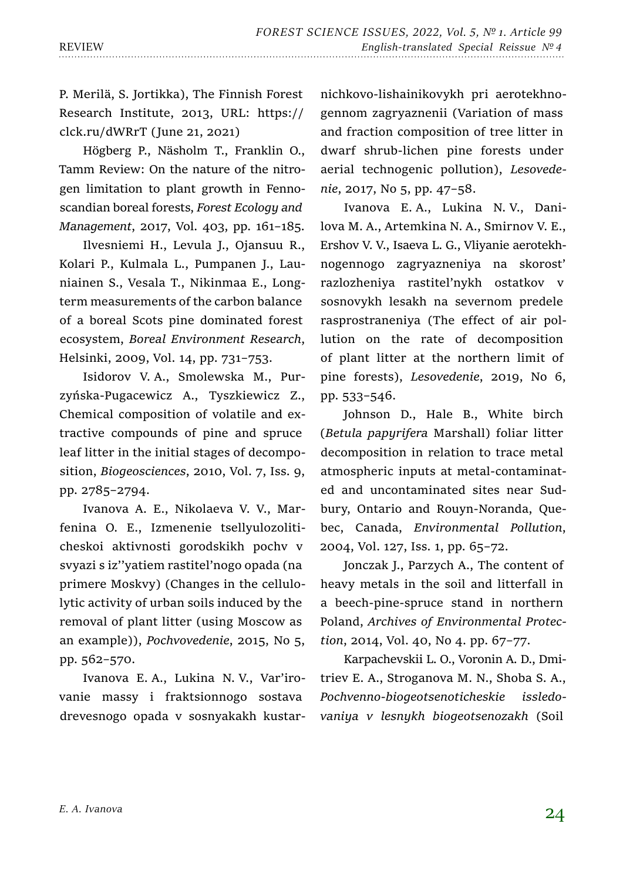P. Merilä, S. Jortikka), The Finnish Forest Research Institute, 2013, URL: https:// clck.ru/dWRrT (June 21, 2021)

Högberg P., Näsholm T., Franklin O., Tamm Review: On the nature of the nitrogen limitation to plant growth in Fennoscandian boreal forests, *Forest Ecology and Management*, 2017, Vol. 403, pp. 161–185.

Ilvesniemi H., Levula J., Ojansuu R., Kolari P., Kulmala L., Pumpanen J., Launiainen S., Vesala T., Nikinmaa E., Longterm measurements of the carbon balance of a boreal Scots pine dominated forest ecosystem, *Boreal Environment Research*, Helsinki, 2009, Vol. 14, pp. 731–753.

Isidorov V. A., Smolewska M., Purzyńska-Pugacewicz A., Tyszkiewicz Z., Chemical composition of volatile and extractive compounds of pine and spruce leaf litter in the initial stages of decomposition, *Biogeosciences*, 2010, Vol. 7, Iss. 9, pp. 2785–2794.

Ivanova A. E., Nikolaeva V. V., Marfenina O. E., Izmenenie tsellyulozoliticheskoi aktivnosti gorodskikh pochv v svyazi s iz''yatiem rastitel'nogo opada (na primere Moskvy) (Changes in the cellulolytic activity of urban soils induced by the removal of plant litter (using Moscow as an example)), *Pochvovedenie*, 2015, No 5, pp. 562–570.

Ivanova E. A., Lukina N. V., Var'irovanie massy i fraktsionnogo sostava drevesnogo opada v sosnyakakh kustarnichkovo-lishainikovykh pri aerotekhnogennom zagryaznenii (Variation of mass and fraction composition of tree litter in dwarf shrub-lichen pine forests under aerial technogenic pollution), *Lesovedenie*, 2017, No 5, pp. 47–58.

Ivanova E. A., Lukina N. V., Danilova M. A., Artemkina N. A., Smirnov V. E., Ershov V. V., Isaeva L. G., Vliyanie aerotekhnogennogo zagryazneniya na skorost' razlozheniya rastitel'nykh ostatkov v sosnovykh lesakh na severnom predele rasprostraneniya (The effect of air pollution on the rate of decomposition of plant litter at the northern limit of pine forests), *Lesovedenie*, 2019, No 6, pp. 533–546.

Johnson D., Hale B., White birch (*Betula papyrifera* Marshall) foliar litter decomposition in relation to trace metal atmospheric inputs at metal-contaminated and uncontaminated sites near Sudbury, Ontario and Rouyn-Noranda, Quebec, Canada, *Environmental Pollution*, 2004, Vol. 127, Iss. 1, pp. 65–72.

Jonczak J., Parzych A., The content of heavy metals in the soil and litterfall in a beech-pine-spruce stand in northern Poland, *Archives of Environmental Protection*, 2014, Vol. 40, No 4. pp. 67–77.

Karpachevskii L. O., Voronin A. D., Dmitriev E. A., Stroganova M. N., Shoba S. A., *Pochvenno-biogeotsenoticheskie issledovaniya v lesnykh biogeotsenozakh* (Soil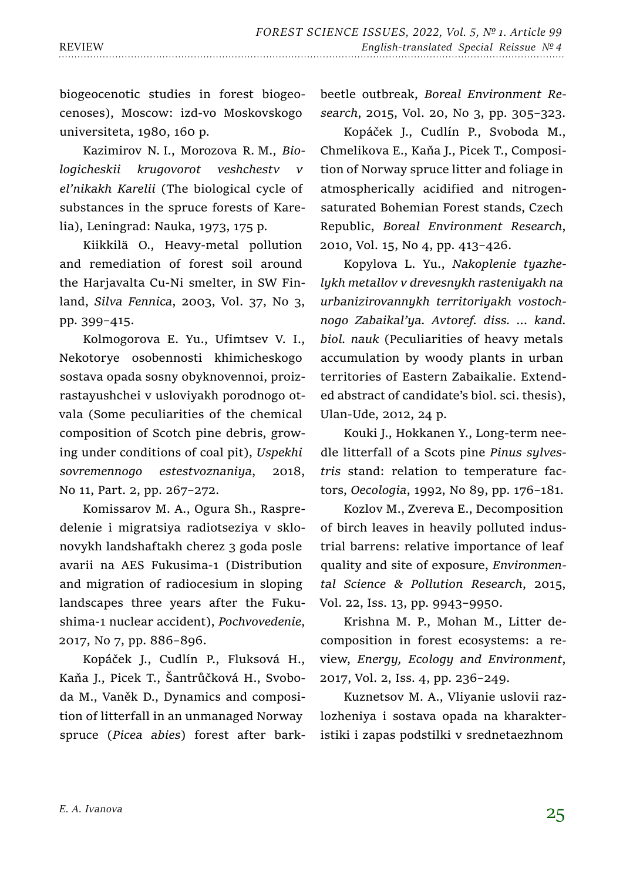biogeocenotic studies in forest biogeocenoses), Moscow: izd-vo Moskovskogo universiteta, 1980, 160 p.

Kazimirov N. I., Morozova R. M., *Biologicheskii krugovorot veshchestv v el'nikakh Karelii* (The biological cycle of substances in the spruce forests of Karelia), Leningrad: Nauka, 1973, 175 p.

Kiikkilä O., Heavy-metal pollution and remediation of forest soil around the Harjavalta Cu-Ni smelter, in SW Finland, *Silva Fennica*, 2003, Vol. 37, No 3, pp. 399–415.

Kolmogorova E. Yu., Ufimtsev V. I., Nekotorye osobennosti khimicheskogo sostava opada sosny obyknovennoi, proizrastayushchei v usloviyakh porodnogo otvala (Some peculiarities of the chemical composition of Scotch pine debris, growing under conditions of coal pit), *Uspekhi sovremennogo estestvoznaniya*, 2018, No 11, Part. 2, pp. 267–272.

Komissarov M. A., Ogura Sh., Raspredelenie i migratsiya radiotseziya v sklonovykh landshaftakh cherez 3 goda posle avarii na AES Fukusima-1 (Distribution and migration of radiocesium in sloping landscapes three years after the Fukushima-1 nuclear accident), *Pochvovedenie*, 2017, No 7, pp. 886–896.

Kopáček J., Cudlín P., Fluksová H., Kaňa J., Picek T., Šantrůčková H., Svoboda M., Vaněk D., Dynamics and composition of litterfall in an unmanaged Norway spruce (*Picea abies*) forest after barkbeetle outbreak, *Boreal Environment Research*, 2015, Vol. 20, No 3, pp. 305–323.

Kopáček J., Cudlín P., Svoboda M., Chmelikova E., Kaňa J., Picek T., Composition of Norway spruce litter and foliage in atmospherically acidified and nitrogensaturated Bohemian Forest stands, Czech Republic, *Boreal Environment Research*, 2010, Vol. 15, No 4, pp. 413–426.

Kopylova L. Yu., *Nakoplenie tyazhelykh metallov v drevesnykh rasteniyakh na urbanizirovannykh territoriyakh vostochnogo Zabaikal'ya. Avtoref. diss. … kand. biol. nauk* (Peculiarities of heavy metals accumulation by woody plants in urban territories of Eastern Zabaikalie. Extended abstract of candidate's biol. sci. thesis), Ulan-Ude, 2012, 24 p.

Kouki J., Hokkanen Y., Long-term needle litterfall of a Scots pine *Pinus sylvestris* stand: relation to temperature factors, *Oecologia*, 1992, No 89, pp. 176–181.

Kozlov M., Zvereva E., Decomposition of birch leaves in heavily polluted industrial barrens: relative importance of leaf quality and site of exposure, *Environmental Science & Pollution Research*, 2015, Vol. 22, Iss. 13, pp. 9943–9950.

Krishna M. P., Mohan M., Litter decomposition in forest ecosystems: a review, *Energy, Ecology and Environment*, 2017, Vol. 2, Iss. 4, pp. 236–249.

Kuznetsov M. A., Vliyanie uslovii razlozheniya i sostava opada na kharakteristiki i zapas podstilki v srednetaezhnom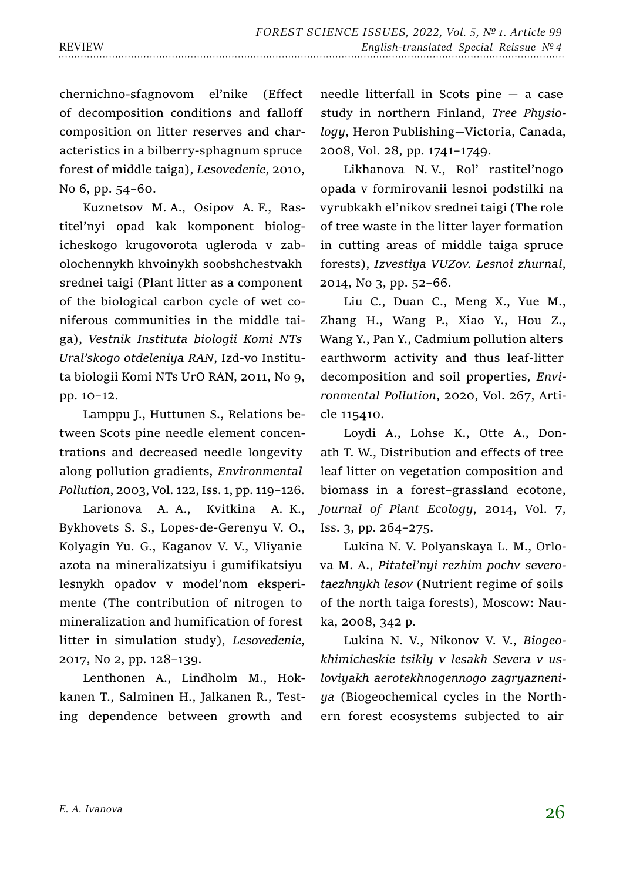chernichno-sfagnovom el'nike (Effect of decomposition conditions and falloff composition on litter reserves and characteristics in a bilberry-sphagnum spruce forest of middle taiga), *Lesovedenie*, 2010, No 6, pp. 54–60.

Kuznetsov M. A., Osipov A. F., Rastitel'nyi opad kak komponent biologicheskogo krugovorota ugleroda v zabolochennykh khvoinykh soobshchestvakh srednei taigi (Plant litter as a component of the biological carbon cycle of wet coniferous communities in the middle taiga), *Vestnik Instituta biologii Komi NTs Ural'skogo otdeleniya RAN*, Izd-vo Instituta biologii Komi NTs UrO RAN, 2011, No 9, pp. 10–12.

Lamppu J., Huttunen S., Relations between Scots pine needle element concentrations and decreased needle longevity along pollution gradients, *Environmental Pollution*, 2003, Vol. 122, Iss. 1, pp. 119–126.

Larionova A. A., Kvitkina A. K., Bykhovets S. S., Lopes-de-Gerenyu V. O., Kolyagin Yu. G., Kaganov V. V., Vliyanie azota na mineralizatsiyu i gumifikatsiyu lesnykh opadov v model'nom eksperimente (The contribution of nitrogen to mineralization and humification of forest litter in simulation study), *Lesovedenie*, 2017, No 2, pp. 128–139.

Lenthonen A., Lindholm M., Hokkanen T., Salminen H., Jalkanen R., Testing dependence between growth and

needle litterfall in Scots pine — a case study in northern Finland, *Tree Physiology*, Heron Publishing—Victoria, Canada, 2008, Vol. 28, pp. 1741–1749.

Likhanova N. V., Rol' rastitel'nogo opada v formirovanii lesnoi podstilki na vyrubkakh el'nikov srednei taigi (The role of tree waste in the litter layer formation in cutting areas of middle taiga spruce forests), *Izvestiya VUZov. Lesnoi zhurnal*, 2014, No 3, pp. 52–66.

Liu C., Duan C., Meng X., Yue M., Zhang H., Wang P., Xiao Y., Hou Z., Wang Y., Pan Y., Cadmium pollution alters earthworm activity and thus leaf-litter decomposition and soil properties, *Environmental Pollution*, 2020, Vol. 267, Article 115410.

Loydi A., Lohse K., Otte A., Donath T. W., Distribution and effects of tree leaf litter on vegetation composition and biomass in a forest–grassland ecotone, *Journal of Plant Ecology*, 2014, Vol. 7, Iss. 3, pp. 264–275.

Lukina N. V. Polyanskaya L. M., Orlova M. A., *Pitatel'nyi rezhim pochv severotaezhnykh lesov* (Nutrient regime of soils of the north taiga forests), Moscow: Nauka, 2008, 342 p.

Lukina N. V., Nikonov V. V., *Biogeokhimicheskie tsikly v lesakh Severa v usloviyakh aerotekhnogennogo zagryazneniya* (Biogeochemical cycles in the Northern forest ecosystems subjected to air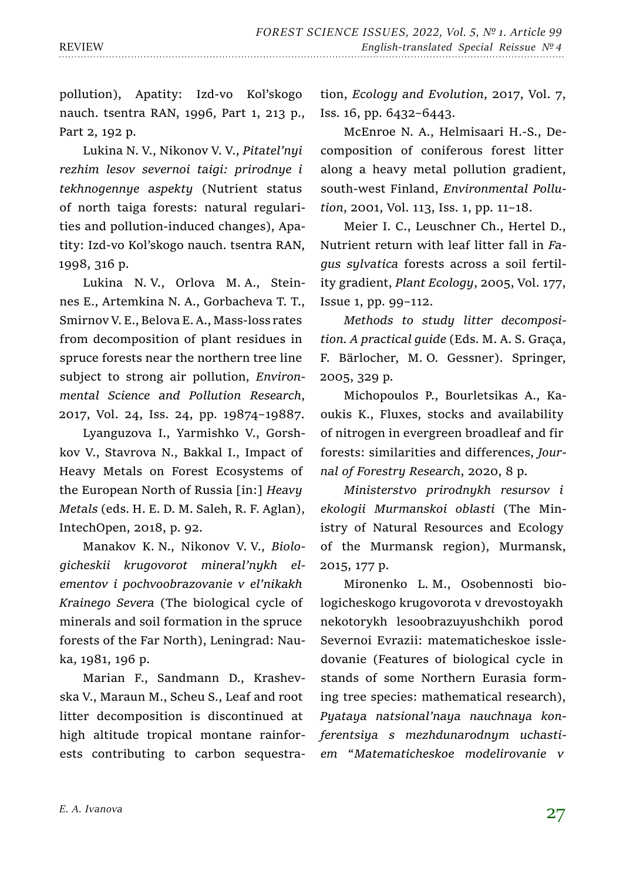pollution), Apatity: Izd-vo Kol'skogo nauch. tsentra RAN, 1996, Part 1, 213 p., Part 2, 192 p.

Lukina N. V., Nikonov V. V., *Pitatel'nyi rezhim lesov severnoi taigi: prirodnye i tekhnogennye aspekty* (Nutrient status of north taiga forests: natural regularities and pollution-induced changes), Apatity: Izd-vo Kol'skogo nauch. tsentra RAN, 1998, 316 p.

Lukina N. V., Orlova M. A., Steinnes E., Artemkina N. A., Gorbacheva T. T., Smirnov V. E., Belova E. A., Mass-loss rates from decomposition of plant residues in spruce forests near the northern tree line subject to strong air pollution, *Environmental Science and Pollution Research*, 2017, Vol. 24, Iss. 24, pp. 19874–19887.

Lyanguzova I., Yarmishko V., Gorshkov V., Stavrova N., Bakkal I., Impact of Heavy Metals on Forest Ecosystems of the European North of Russia [in:] *Heavy Metals* (eds. H. E. D. M. Saleh, R. F. Aglan), IntechOpen, 2018, p. 92.

Manakov K. N., Nikonov V. V., *Biologicheskii krugovorot mineral'nykh elementov i pochvoobrazovanie v el'nikakh Krainego Severa* (The biological cycle of minerals and soil formation in the spruce forests of the Far North), Leningrad: Nauka, 1981, 196 p.

Marian F., Sandmann D., Krashevska V., Maraun M., Scheu S., Leaf and root litter decomposition is discontinued at high altitude tropical montane rainforests contributing to carbon sequestration, *Ecology and Evolution*, 2017, Vol. 7, Iss. 16, pp. 6432–6443.

McEnroe N. A., Helmisaari H.-S., Decomposition of coniferous forest litter along a heavy metal pollution gradient, south-west Finland, *Environmental Pollution*, 2001, Vol. 113, Iss. 1, pp. 11–18.

Meier I. C., Leuschner Ch., Hertel D., Nutrient return with leaf litter fall in *Fagus sylvatica* forests across a soil fertility gradient, *Plant Ecology*, 2005, Vol. 177, Issue 1, pp. 99–112.

*Methods to study litter decomposition. A practical guide* (Eds. M. A. S. Graça, F. Bärlocher, M. O. Gessner). Springer, 2005, 329 p.

Michopoulos P., Bourletsikas A., Kaoukis K., Fluxes, stocks and availability of nitrogen in evergreen broadleaf and fir forests: similarities and differences, *Journal of Forestry Research*, 2020, 8 p.

*Ministerstvo prirodnykh resursov i ekologii Murmanskoi oblasti* (The Ministry of Natural Resources and Ecology of the Murmansk region), Murmansk, 2015, 177 p.

Mironenko L. M., Osobennosti biologicheskogo krugovorota v drevostoyakh nekotorykh lesoobrazuyushchikh porod Severnoi Evrazii: matematicheskoe issledovanie (Features of biological cycle in stands of some Northern Eurasia forming tree species: mathematical research), *Pyataya natsional'naya nauchnaya konferentsiya s mezhdunarodnym uchastiem* "*Matematicheskoe modelirovanie v*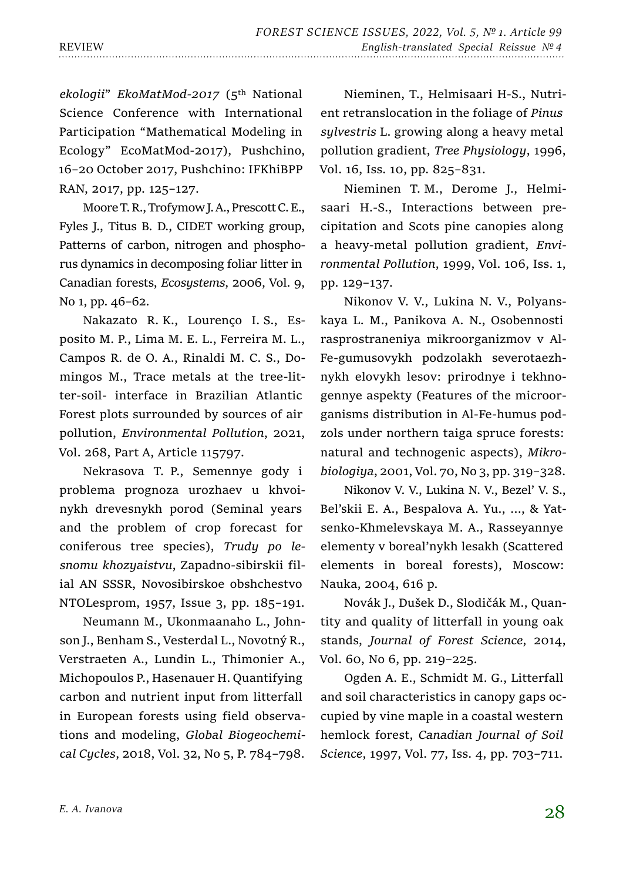*ekologii*" *EkoMatMod-2017* (5th National Science Conference with International Participation "Mathematical Modeling in Ecology" EcoMatMod-2017), Pushchino, 16–20 October 2017, Pushchino: IFKhiBPP RAN, 2017, pp. 125–127.

Moore T. R., Trofymow J. A., Prescott C. E., Fyles J., Titus B. D., CIDET working group, Patterns of carbon, nitrogen and phosphorus dynamics in decomposing foliar litter in Canadian forests, *Ecosystems*, 2006, Vol. 9, No 1, pp. 46–62.

Nakazato R. K., Lourenço I. S., Esposito M. P., Lima M. E. L., Ferreira M. L., Campos R. de O. A., Rinaldi M. C. S., Domingos M., Trace metals at the tree-litter-soil- interface in Brazilian Atlantic Forest plots surrounded by sources of air pollution, *Environmental Pollution*, 2021, Vol. 268, Part A, Article 115797.

Nekrasova T. P., Semennye gody i problema prognoza urozhaev u khvoinykh drevesnykh porod (Seminal years and the problem of crop forecast for coniferous tree species), *Trudy po lesnomu khozyaistvu*, Zapadno-sibirskii filial AN SSSR, Novosibirskoe obshchestvo NTOLesprom, 1957, Issue 3, pp. 185–191.

Neumann M., Ukonmaanaho L., Johnson J., Benham S., Vesterdal L., Novotný R., Verstraeten A., Lundin L., Thimonier A., Michopoulos P., Hasenauer H. Quantifying carbon and nutrient input from litterfall in European forests using field observations and modeling, *Global Biogeochemical Cycles*, 2018, Vol. 32, No 5, P. 784–798.

Nieminen, T., Helmisaari H-S., Nutrient retranslocation in the foliage of *Pinus sylvestris* L. growing along a heavy metal pollution gradient, *Tree Physiology*, 1996, Vol. 16, Iss. 10, pp. 825–831.

Nieminen T. M., Derome J., Helmisaari H.-S., Interactions between precipitation and Scots pine canopies along a heavy-metal pollution gradient, *Environmental Pollution*, 1999, Vol. 106, Iss. 1, pp. 129–137.

Nikonov V. V., Lukina N. V., Polyanskaya L. M., Panikova A. N., Osobennosti rasprostraneniya mikroorganizmov v Al-Fe-gumusovykh podzolakh severotaezhnykh elovykh lesov: prirodnye i tekhnogennye aspekty (Features of the microorganisms distribution in Al-Fe-humus podzols under northern taiga spruce forests: natural and technogenic aspects), *Mikrobiologiya*, 2001, Vol. 70, No 3, pp. 319–328.

Nikonov V. V., Lukina N. V., Bezel' V. S., Bel'skii E. A., Bespalova A. Yu., …, & Yatsenko-Khmelevskaya M. A., Rasseyannye elementy v boreal'nykh lesakh (Scattered elements in boreal forests), Moscow: Nauka, 2004, 616 p.

Novák J., Dušek D., Slodičák M., Quantity and quality of litterfall in young oak stands, *Journal of Forest Science*, 2014, Vol. 60, No 6, pp. 219–225.

Ogden A. E., Schmidt M. G., Litterfall and soil characteristics in canopy gaps occupied by vine maple in a coastal western hemlock forest, *Сanadian Journal of Soil Science*, 1997, Vol. 77, Iss. 4, pp. 703–711.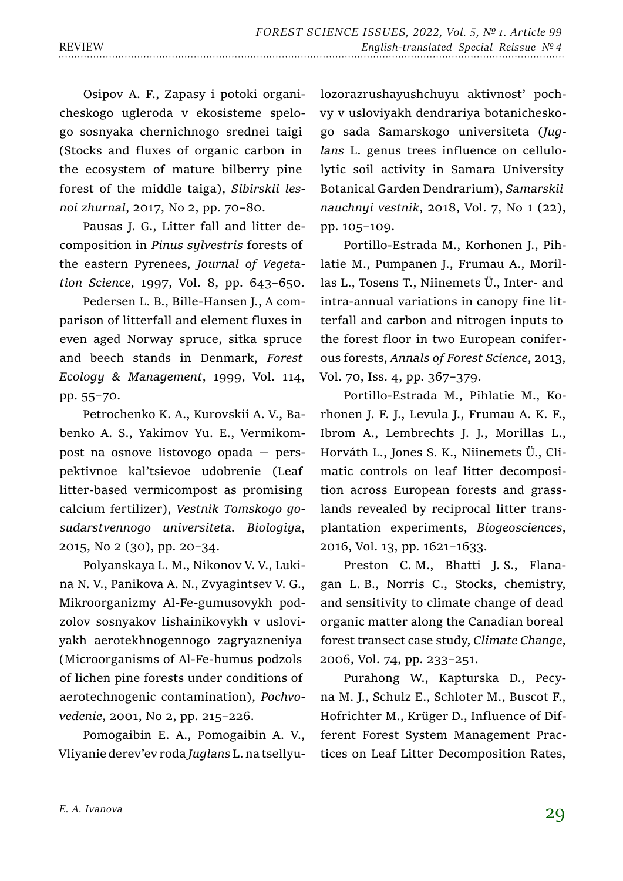Osipov A. F., Zapasy i potoki organicheskogo ugleroda v ekosisteme spelogo sosnyaka chernichnogo srednei taigi (Stocks and fluxes of organic carbon in the ecosystem of mature bilberry pine forest of the middle taiga), *Sibirskii lesnoi zhurnal*, 2017, No 2, pp. 70–80.

Pausas J. G., Litter fall and litter decomposition in *Pinus sylvestris* forests of the eastern Pyrenees, *Journal of Vegetation Science*, 1997, Vol. 8, pp. 643–650.

Pedersen L. B., Bille-Hansen J., A comparison of litterfall and element fluxes in even aged Norway spruce, sitka spruce and beech stands in Denmark, *Forest Ecology & Management*, 1999, Vol. 114, pp. 55–70.

Petrochenko K. A., Kurovskii A. V., Babenko A. S., Yakimov Yu. E., Vermikompost na osnove listovogo opada — perspektivnoe kal'tsievoe udobrenie (Leaf litter-based vermicompost as promising calcium fertilizer), *Vestnik Tomskogo gosudarstvennogo universiteta. Biologiya*, 2015, No 2 (30), pp. 20–34.

Polyanskaya L. M., Nikonov V. V., Lukina N. V., Panikova A. N., Zvyagintsev V. G., Mikroorganizmy Al-Fe-gumusovykh podzolov sosnyakov lishainikovykh v usloviyakh aerotekhnogennogo zagryazneniya (Microorganisms of Al-Fe-humus podzols of lichen pine forests under conditions of aerotechnogenic contamination), *Pochvovedenie*, 2001, No 2, pp. 215–226.

Pomogaibin E. A., Pomogaibin A. V., Vliyanie derev'ev roda *Juglans* L. na tsellyulozorazrushayushchuyu aktivnost' pochvy v usloviyakh dendrariya botanicheskogo sada Samarskogo universiteta (*Juglans* L. genus trees influence on cellulolytic soil activity in Samara University Botanical Garden Dendrarium), *Samarskii nauchnyi vestnik*, 2018, Vol. 7, No 1 (22), pp. 105–109.

Portillo-Estrada M., Korhonen J., Pihlatie M., Pumpanen J., Frumau A., Morillas L., Tosens T., Niinemets Ü., Inter- and intra-annual variations in canopy fine litterfall and carbon and nitrogen inputs to the forest floor in two European coniferous forests, *Annals of Forest Science*, 2013, Vol. 70, Iss. 4, pp. 367–379.

Portillo-Estrada M., Pihlatie M., Korhonen J. F. J., Levula J., Frumau A. K. F., Ibrom A., Lembrechts J. J., Morillas L., Horváth L., Jones S. K., Niinemets Ü., Climatic controls on leaf litter decomposition across European forests and grasslands revealed by reciprocal litter transplantation experiments, *Biogeosciences*, 2016, Vol. 13, pp. 1621–1633.

Preston C. M., Bhatti J. S., Flanagan L. B., Norris C., Stocks, chemistry, and sensitivity to climate change of dead organic matter along the Canadian boreal forest transect case study, *Climate Change*, 2006, Vol. 74, pp. 233–251.

Purahong W., Kapturska D., Pecyna M. J., Schulz E., Schloter M., Buscot F., Hofrichter M., Krüger D., Influence of Different Forest System Management Practices on Leaf Litter Decomposition Rates,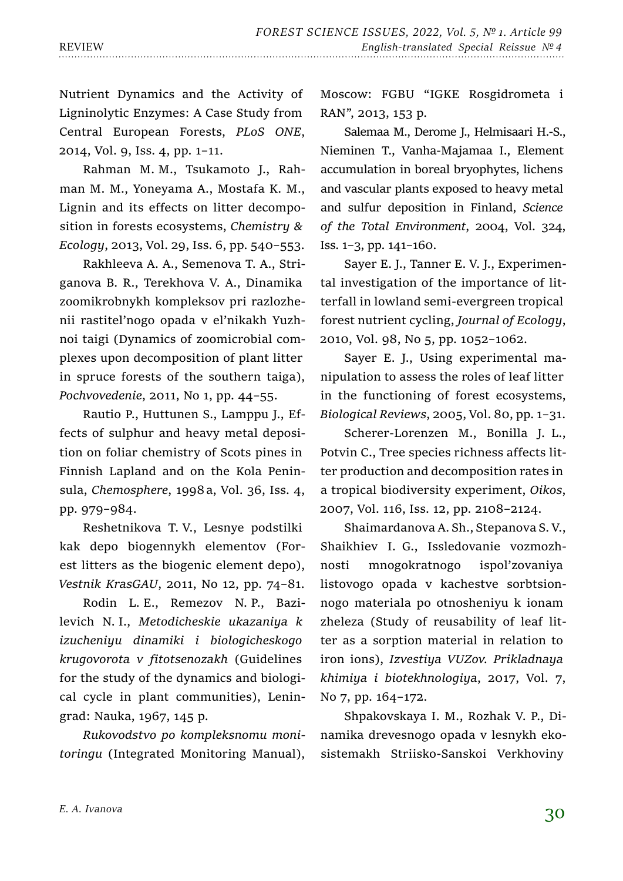Nutrient Dynamics and the Activity of Ligninolytic Enzymes: A Case Study from Central European Forests, *PLoS ONE*, 2014, Vol. 9, Iss. 4, pp. 1–11.

Rahman M. M., Tsukamoto J., Rahman M. M., Yoneyama A., Mostafa K. M., Lignin and its effects on litter decomposition in forests ecosystems, *Chemistry & Ecology*, 2013, Vol. 29, Iss. 6, pp. 540–553.

Rakhleeva A. A., Semenova T. A., Striganova B. R., Terekhova V. A., Dinamika zoomikrobnykh kompleksov pri razlozhenii rastitel'nogo opada v el'nikakh Yuzhnoi taigi (Dynamics of zoomicrobial complexes upon decomposition of plant litter in spruce forests of the southern taiga), *Pochvovedenie*, 2011, No 1, pp. 44–55.

Rautio P., Huttunen S., Lamppu J., Effects of sulphur and heavy metal deposition on foliar chemistry of Scots pines in Finnish Lapland and on the Kola Peninsula, *Chemosphere*, 1998a, Vol. 36, Iss. 4, pp. 979–984.

Reshetnikova T. V., Lesnye podstilki kak depo biogennykh elementov (Forest litters as the biogenic element depo), *Vestnik KrasGAU*, 2011, No 12, pp. 74–81.

Rodin L. E., Remezov N. P., Bazilevich N. I., *Metodicheskie ukazaniya k izucheniyu dinamiki i biologicheskogo krugovorota v fitotsenozakh* (Guidelines for the study of the dynamics and biological cycle in plant communities), Leningrad: Nauka, 1967, 145 p.

*Rukovodstvo po kompleksnomu monitoringu* (Integrated Monitoring Manual),

Moscow: FGBU "IGKE Rosgidrometa i RAN", 2013, 153 p.

Salemaa M., Derome J., Helmisaari H.-S., Nieminen T., Vanha-Majamaa I., Element accumulation in boreal bryophytes, lichens and vascular plants exposed to heavy metal and sulfur deposition in Finland, *Science of the Total Environment*, 2004, Vol. 324, Iss. 1–3, pp. 141–160.

Sayer E. J., Tanner E. V. J., Experimental investigation of the importance of litterfall in lowland semi-evergreen tropical forest nutrient cycling, *Journal of Ecology*, 2010, Vol. 98, No 5, pp. 1052–1062.

Sayer E. J., Using experimental manipulation to assess the roles of leaf litter in the functioning of forest ecosystems, *Biological Reviews*, 2005, Vol. 80, pp. 1–31.

Scherer-Lorenzen M., Bonilla J. L., Potvin C., Tree species richness affects litter production and decomposition rates in a tropical biodiversity experiment, *Oikos*, 2007, Vol. 116, Iss. 12, pp. 2108–2124.

Shaimardanova A. Sh., Stepanova S. V., Shaikhiev I. G., Issledovanie vozmozhnosti mnogokratnogo ispol'zovaniya listovogo opada v kachestve sorbtsionnogo materiala po otnosheniyu k ionam zheleza (Study of reusability of leaf litter as a sorption material in relation to iron ions), *Izvestiya VUZov. Prikladnaya khimiya i biotekhnologiya*, 2017, Vol. 7, No 7, pp. 164–172.

Shpakovskaya I. M., Rozhak V. P., Dinamika drevesnogo opada v lesnykh ekosistemakh Striisko-Sanskoi Verkhoviny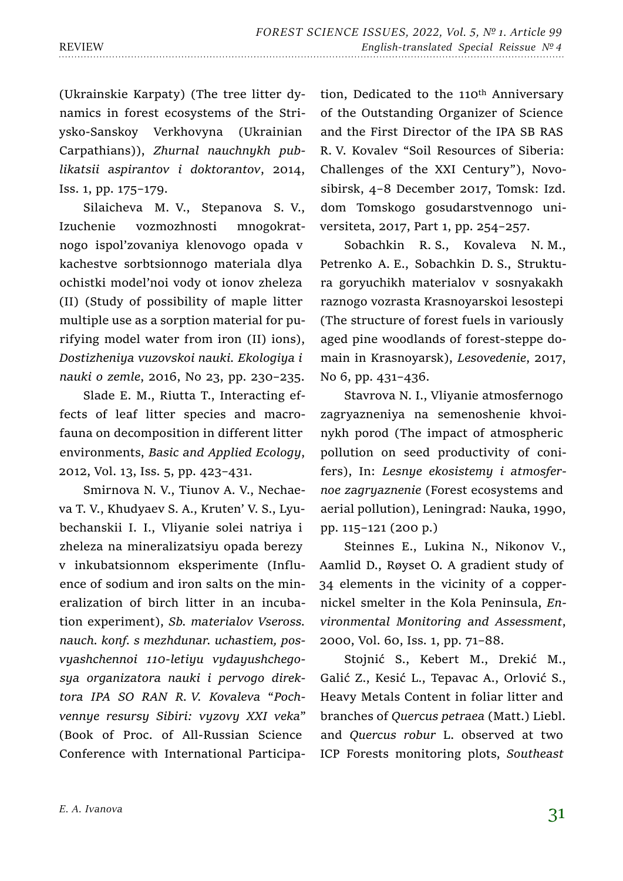(Ukrainskie Karpaty) (The tree litter dynamics in forest ecosystems of the Striysko-Sanskoy Verkhovyna (Ukrainian Carpathians)), *Zhurnal nauchnykh publikatsii aspirantov i doktorantov*, 2014, Iss. 1, pp. 175–179.

Silaicheva M. V., Stepanova S. V., Izuchenie vozmozhnosti mnogokratnogo ispol'zovaniya klenovogo opada v kachestve sorbtsionnogo materiala dlya ochistki model'noi vody ot ionov zheleza (II) (Study of possibility of maple litter multiple use as a sorption material for purifying model water from iron (II) ions), *Dostizheniya vuzovskoi nauki. Ekologiya i nauki o zemle*, 2016, No 23, pp. 230–235.

Slade E. M., Riutta T., Interacting effects of leaf litter species and macrofauna on decomposition in different litter environments, *Basic and Applied Ecology*, 2012, Vol. 13, Iss. 5, pp. 423–431.

Smirnova N. V., Tiunov A. V., Nechaeva T. V., Khudyaev S. A., Kruten' V. S., Lyubechanskii I. I., Vliyanie solei natriya i zheleza na mineralizatsiyu opada berezy v inkubatsionnom eksperimente (Influence of sodium and iron salts on the mineralization of birch litter in an incubation experiment), *Sb. materialov Vseross. nauch. konf. s mezhdunar. uchastiem, posvyashchennoi 110-letiyu vydayushchegosya organizatora nauki i pervogo direktora IPA SO RAN R. V. Kovaleva* "*Pochvennye resursy Sibiri: vyzovy XXI veka*" (Book of Proc. of All-Russian Science Conference with International Participation, Dedicated to the 110<sup>th</sup> Anniversary of the Outstanding Organizer of Science and the First Director of the IPA SB RAS R. V. Kovalev "Soil Resources of Siberia: Challenges of the XXI Century"), Novosibirsk, 4–8 December 2017, Tomsk: Izd. dom Tomskogo gosudarstvennogo universiteta, 2017, Part 1, pp. 254–257.

Sobachkin R. S., Kovaleva N. M., Petrenko A. E., Sobachkin D. S., Struktura goryuchikh materialov v sosnyakakh raznogo vozrasta Krasnoyarskoi lesostepi (The structure of forest fuels in variously aged pine woodlands of forest-steppe domain in Krasnoyarsk), *Lesovedenie*, 2017, No 6, pp. 431–436.

Stavrova N. I., Vliyanie atmosfernogo zagryazneniya na semenoshenie khvoinykh porod (The impact of atmospheric pollution on seed productivity of conifers), In: *Lesnye ekosistemy i atmosfernoe zagryaznenie* (Forest ecosystems and aerial pollution), Leningrad: Nauka, 1990, pp. 115–121 (200 p.)

Steinnes E., Lukina N., Nikonov V., Aamlid D., Røyset O. A gradient study of 34 elements in the vicinity of a coppernickel smelter in the Kola Peninsula, *Environmental Monitoring and Assessment*, 2000, Vol. 60, Iss. 1, pp. 71–88.

Stojnić S., Kebert M., Drekić M., Galić Z., Kesić L., Tepavac A., Orlović S., Heavy Metals Content in foliar litter and branches of *Quercus petraea* (Matt.) Liebl. and *Quercus robur* L. observed at two ICP Forests monitoring plots, *Southeast*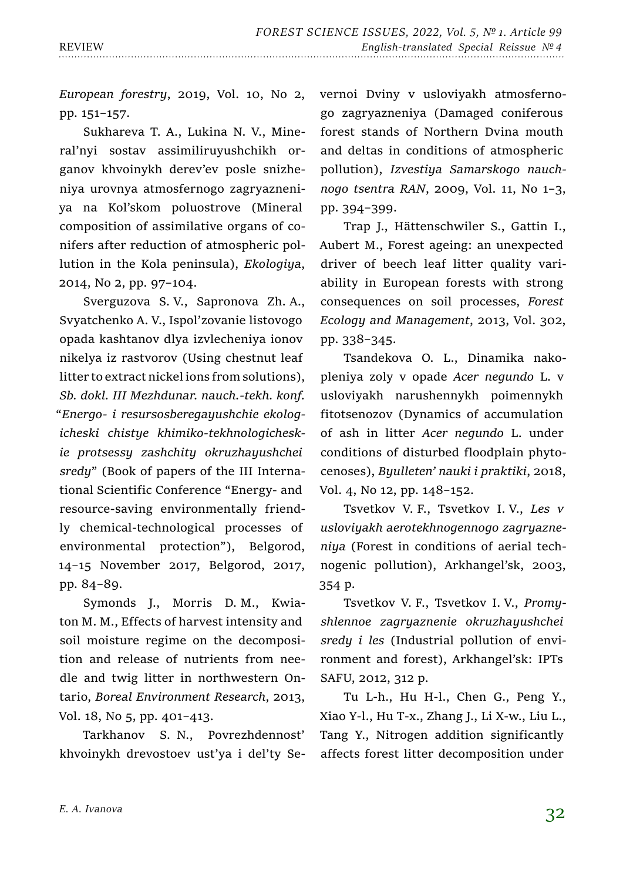*European forestry*, 2019, Vol. 10, No 2, pp. 151–157.

Sukhareva T. A., Lukina N. V., Mineral'nyi sostav assimiliruyushchikh organov khvoinykh derev'ev posle snizheniya urovnya atmosfernogo zagryazneniya na Kol'skom poluostrove (Mineral composition of assimilative organs of conifers after reduction of atmospheric pollution in the Kola peninsula), *Ekologiya*, 2014, No 2, pp. 97–104.

Sverguzova S. V., Sapronova Zh. A., Svyatchenko A. V., Ispol'zovanie listovogo opada kashtanov dlya izvlecheniya ionov nikelya iz rastvorov (Using chestnut leaf litter to extract nickel ions from solutions), *Sb. dokl. III Mezhdunar. nauch.-tekh. konf.* "*Energo- i resursosberegayushchie ekologicheski chistye khimiko-tekhnologicheskie protsessy zashchity okruzhayushchei sredy*" (Book of papers of the III International Scientific Conference "Energy- and resource-saving environmentally friendly chemical-technological processes of environmental protection"), Belgorod, 14–15 November 2017, Belgorod, 2017, pp. 84–89.

Symonds J., Morris D. M., Kwiaton M. M., Effects of harvest intensity and soil moisture regime on the decomposition and release of nutrients from needle and twig litter in northwestern Ontario, *Boreal Environment Research*, 2013, Vol. 18, No 5, pp. 401–413.

Tarkhanov S. N., Povrezhdennost' khvoinykh drevostoev ust'ya i del'ty Severnoi Dviny v usloviyakh atmosfernogo zagryazneniya (Damaged coniferous forest stands of Northern Dvina mouth and deltas in conditions of atmospheric pollution), *Izvestiya Samarskogo nauchnogo tsentra RAN*, 2009, Vol. 11, No 1–3, pp. 394–399.

Trap J., Hättenschwiler S., Gattin I., Aubert M., Forest ageing: an unexpected driver of beech leaf litter quality variability in European forests with strong consequences on soil processes, *Forest Ecology and Management*, 2013, Vol. 302, pp. 338–345.

Tsandekova O. L., Dinamika nakopleniya zoly v opade *Acer negundo* L. v usloviyakh narushennykh poimennykh fitotsenozov (Dynamics of accumulation of ash in litter *Acer negundo* L. under conditions of disturbed floodplain phytocenoses), *Byulleten' nauki i praktiki*, 2018, Vol. 4, No 12, pp. 148–152.

Tsvetkov V. F., Tsvetkov I. V., *Les v usloviyakh aerotekhnogennogo zagryazneniya* (Forest in conditions of aerial technogenic pollution), Arkhangel'sk, 2003, 354 p.

Tsvetkov V. F., Tsvetkov I. V., *Promyshlennoe zagryaznenie okruzhayushchei sredy i les* (Industrial pollution of environment and forest), Arkhangel'sk: IPTs SAFU, 2012, 312 p.

Tu L-h., Hu H-l., Chen G., Peng Y., Xiao Y-l., Hu T-x., Zhang J., Li X-w., Liu L., Tang Y., Nitrogen addition significantly affects forest litter decomposition under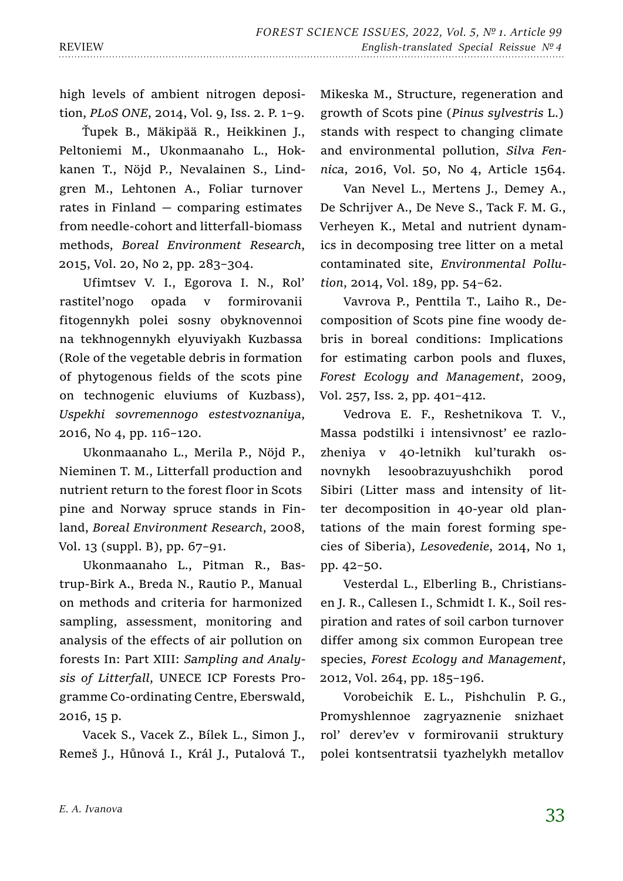high levels of ambient nitrogen deposition, *PLoS ONE*, 2014, Vol. 9, Iss. 2. P. 1–9.

Ťupek B., Mäkipää R., Heikkinen J., Peltoniemi M., Ukonmaanaho L., Hokkanen T., Nöjd P., Nevalainen S., Lindgren M., Lehtonen A., Foliar turnover rates in Finland  $-$  comparing estimates from needle-cohort and litterfall-biomass methods, *Boreal Environment Research*, 2015, Vol. 20, No 2, pp. 283–304.

Ufimtsev V. I., Egorova I. N., Rol' rastitel'nogo opada v formirovanii fitogennykh polei sosny obyknovennoi na tekhnogennykh elyuviyakh Kuzbassa (Role of the vegetable debris in formation of phytogenous fields of the scots pine on technogenic eluviums of Kuzbass), *Uspekhi sovremennogo estestvoznaniya*, 2016, No 4, pp. 116–120.

Ukonmaanaho L., Merila P., Nöjd P., Nieminen T. M., Litterfall production and nutrient return to the forest floor in Scots pine and Norway spruce stands in Finland, *Boreal Environment Research*, 2008, Vol. 13 (suppl. B), pp. 67–91.

Ukonmaanaho L., Pitman R., Bastrup-Birk A., Breda N., Rautio P., Manual on methods and criteria for harmonized sampling, assessment, monitoring and analysis of the effects of air pollution on forests In: Part XIII: *Sampling and Analysis of Litterfall*, UNECE ICP Forests Programme Co-ordinating Centre, Eberswald, 2016, 15 p.

Vacek S., Vacek Z., Bílek L., Simon J., Remeš J., Hůnová I., Král J., Putalová T., Mikeska M., Structure, regeneration and growth of Scots pine (*Pinus sylvestris* L.) stands with respect to changing climate and environmental pollution, *Silva Fennica*, 2016, Vol. 50, No 4, Article 1564.

Van Nevel L., Mertens J., Demey A., De Schrijver A., De Neve S., Tack F. M. G., Verheyen K., Metal and nutrient dynamics in decomposing tree litter on a metal contaminated site, *Environmental Pollution*, 2014, Vol. 189, pp. 54–62.

Vavrova P., Penttila T., Laiho R., Decomposition of Scots pine fine woody debris in boreal conditions: Implications for estimating carbon pools and fluxes, *Forest Ecology and Management*, 2009, Vol. 257, Iss. 2, pp. 401–412.

Vedrova E. F., Reshetnikova T. V., Massa podstilki i intensivnost' ee razlozheniya v 40-letnikh kul'turakh osnovnykh lesoobrazuyushchikh porod Sibiri (Litter mass and intensity of litter decomposition in 40-year old plantations of the main forest forming species of Siberia), *Lesovedenie*, 2014, No 1, pp. 42–50.

Vesterdal L., Elberling B., Christiansen J. R., Callesen I., Schmidt I. K., Soil respiration and rates of soil carbon turnover differ among six common European tree species, *Forest Ecology and Management*, 2012, Vol. 264, pp. 185–196.

Vorobeichik E. L., Pishchulin P. G., Promyshlennoe zagryaznenie snizhaet rol' derev'ev v formirovanii struktury polei kontsentratsii tyazhelykh metallov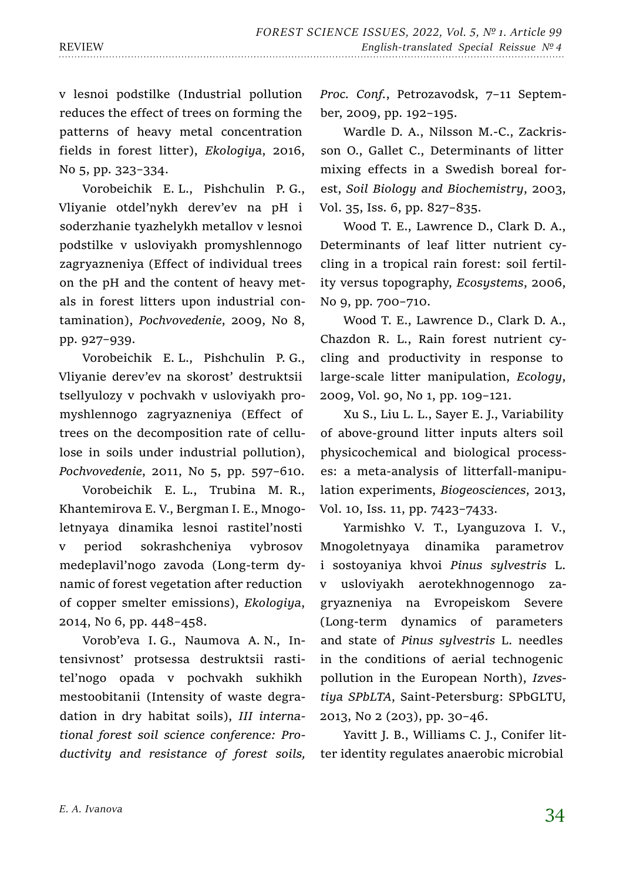v lesnoi podstilke (Industrial pollution reduces the effect of trees on forming the patterns of heavy metal concentration fields in forest litter), *Ekologiya*, 2016, No 5, pp. 323–334.

Vorobeichik E. L., Pishchulin P. G., Vliyanie otdel'nykh derev'ev na pH i soderzhanie tyazhelykh metallov v lesnoi podstilke v usloviyakh promyshlennogo zagryazneniya (Effect of individual trees on the pH and the content of heavy metals in forest litters upon industrial contamination), *Pochvovedenie*, 2009, No 8, pp. 927–939.

Vorobeichik E. L., Pishchulin P. G., Vliyanie derev'ev na skorost' destruktsii tsellyulozy v pochvakh v usloviyakh promyshlennogo zagryazneniya (Effect of trees on the decomposition rate of cellulose in soils under industrial pollution), *Pochvovedenie*, 2011, No 5, pp. 597–610.

Vorobeichik E. L., Trubina M. R., Khantemirova E. V., Bergman I. E., Mnogoletnyaya dinamika lesnoi rastitel'nosti v period sokrashcheniya vybrosov medeplavil'nogo zavoda (Long-term dynamic of forest vegetation after reduction of copper smelter emissions), *Ekologiya*, 2014, No 6, pp. 448–458.

Vorob'eva I. G., Naumova A. N., Intensivnost' protsessa destruktsii rastitel'nogo opada v pochvakh sukhikh mestoobitanii (Intensity of waste degradation in dry habitat soils), *III international forest soil science conference: Productivity and resistance of forest soils,*  *Proc. Conf.*, Petrozavodsk, 7–11 September, 2009, pp. 192–195.

Wardle D. A., Nilsson M.-C., Zackrisson O., Gallet C., Determinants of litter mixing effects in a Swedish boreal forest, *Soil Biology and Biochemistry*, 2003, Vol. 35, Iss. 6, pp. 827–835.

Wood T. E., Lawrence D., Clark D. A., Determinants of leaf litter nutrient cycling in a tropical rain forest: soil fertility versus topography, *Ecosystems*, 2006, No 9, pp. 700–710.

Wood T. E., Lawrence D., Clark D. A., Chazdon R. L., Rain forest nutrient cycling and productivity in response to large-scale litter manipulation, *Ecology*, 2009, Vol. 90, No 1, pp. 109–121.

Xu S., Liu L. L., Sayer E. J., Variability of above-ground litter inputs alters soil physicochemical and biological processes: a meta-analysis of litterfall-manipulation experiments, *Biogeosciences*, 2013, Vol. 10, Iss. 11, pp. 7423–7433.

Yarmishko V. T., Lyanguzova I. V., Mnogoletnyaya dinamika parametrov i sostoyaniya khvoi *Pinus sylvestris* L. v usloviyakh aerotekhnogennogo zagryazneniya na Evropeiskom Severe (Long-term dynamics of parameters and state of *Pinus sylvestris* L. needles in the conditions of aerial technogenic pollution in the European North), *Izvestiya SPbLTA*, Saint-Petersburg: SPbGLTU, 2013, No 2 (203), pp. 30–46.

Yavitt J. B., Williams C. J., Conifer litter identity regulates anaerobic microbial